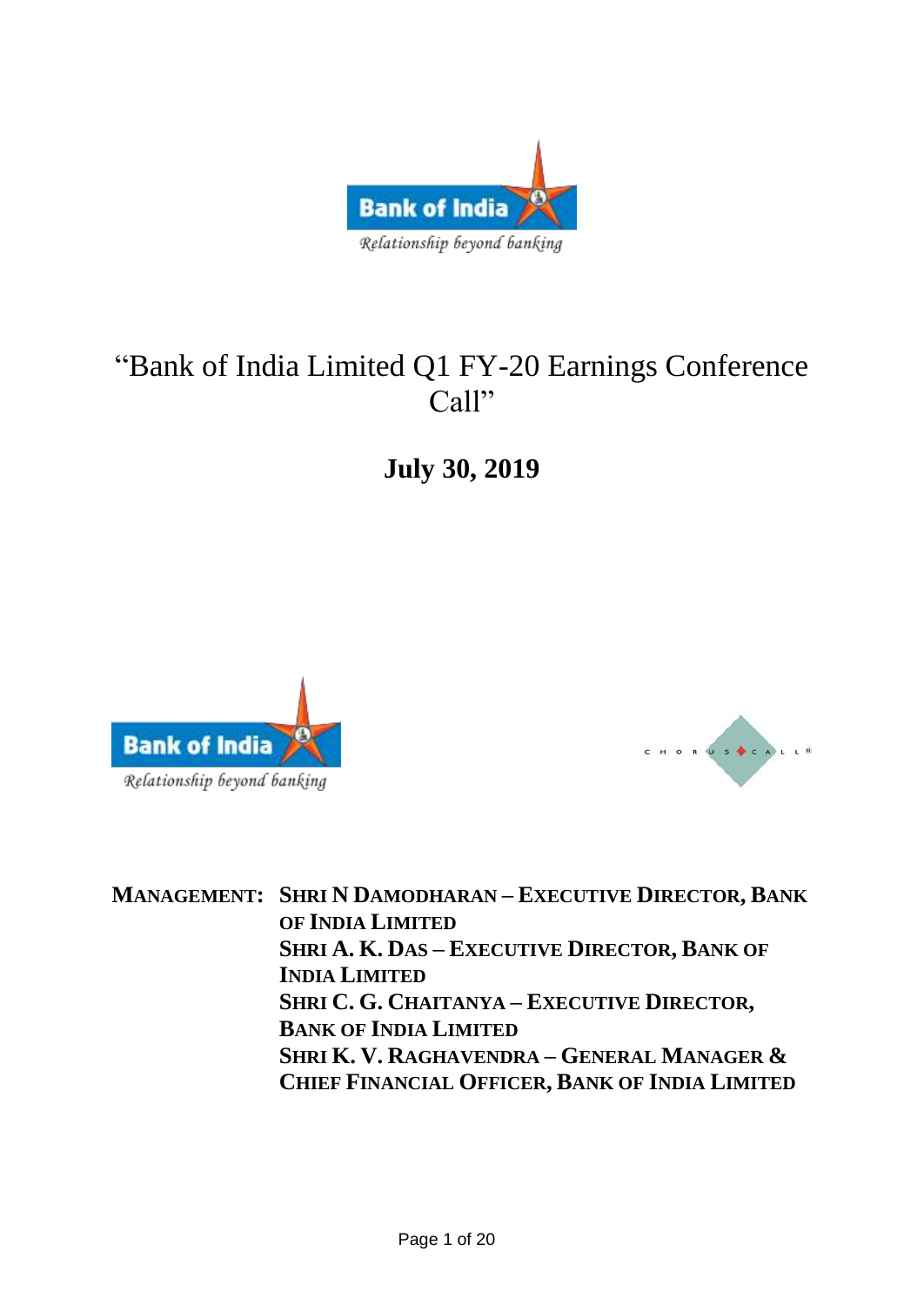

# "Bank of India Limited Q1 FY-20 Earnings Conference Call"

**July 30, 2019**





**MANAGEMENT: SHRI N DAMODHARAN – EXECUTIVE DIRECTOR, BANK OF INDIA LIMITED SHRI A. K. DAS – EXECUTIVE DIRECTOR, BANK OF INDIA LIMITED SHRI C. G. CHAITANYA – EXECUTIVE DIRECTOR, BANK OF INDIA LIMITED SHRI K. V. RAGHAVENDRA – GENERAL MANAGER & CHIEF FINANCIAL OFFICER, BANK OF INDIA LIMITED**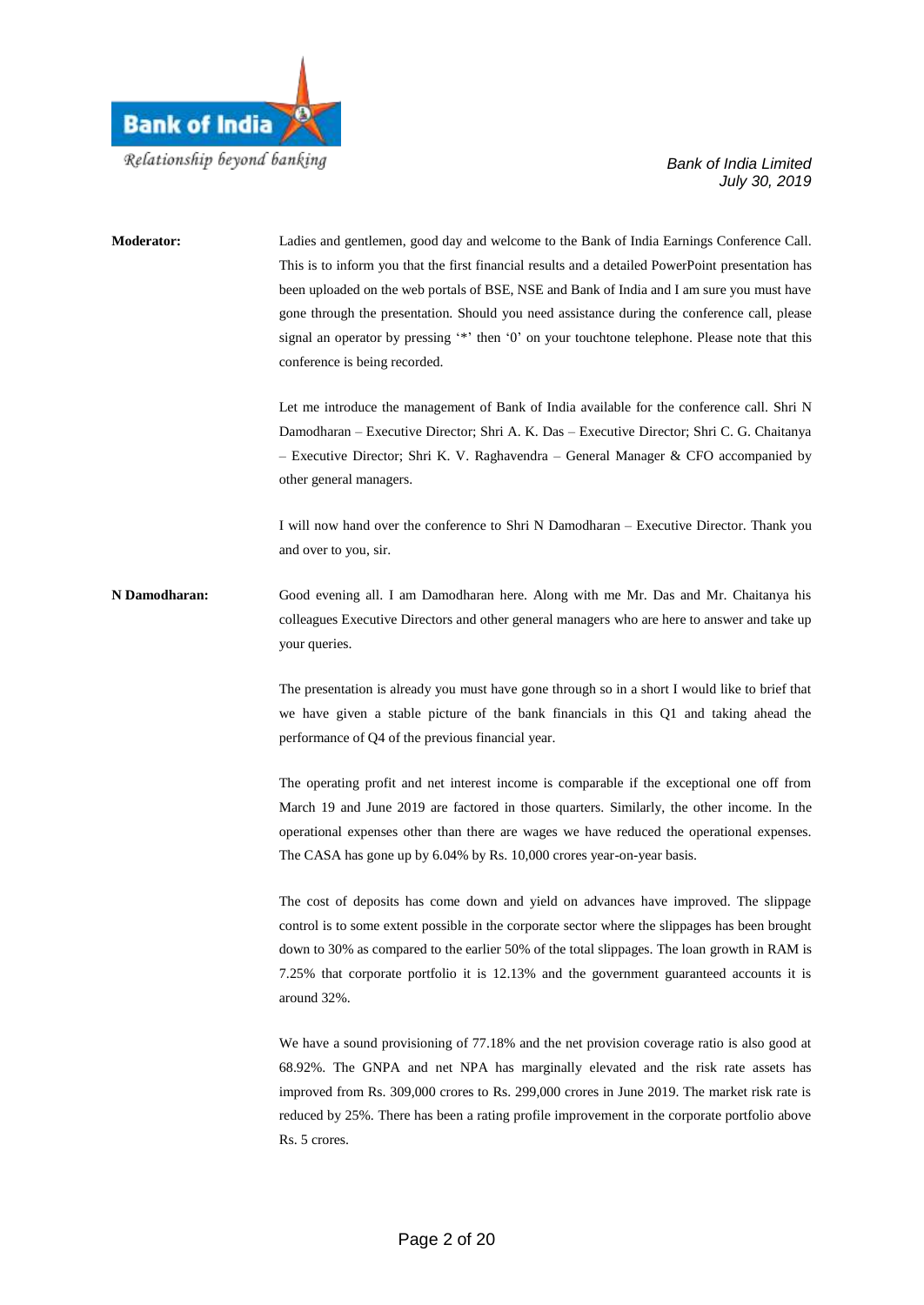

# **Moderator:** Ladies and gentlemen, good day and welcome to the Bank of India Earnings Conference Call. This is to inform you that the first financial results and a detailed PowerPoint presentation has been uploaded on the web portals of BSE, NSE and Bank of India and I am sure you must have gone through the presentation. Should you need assistance during the conference call, please signal an operator by pressing '\*' then '0' on your touchtone telephone. Please note that this conference is being recorded. Let me introduce the management of Bank of India available for the conference call. Shri N Damodharan – Executive Director; Shri A. K. Das – Executive Director; Shri C. G. Chaitanya – Executive Director; Shri K. V. Raghavendra – General Manager & CFO accompanied by other general managers. I will now hand over the conference to Shri N Damodharan – Executive Director. Thank you and over to you, sir. **N Damodharan:** Good evening all. I am Damodharan here. Along with me Mr. Das and Mr. Chaitanya his colleagues Executive Directors and other general managers who are here to answer and take up your queries. The presentation is already you must have gone through so in a short I would like to brief that we have given a stable picture of the bank financials in this Q1 and taking ahead the performance of Q4 of the previous financial year. The operating profit and net interest income is comparable if the exceptional one off from March 19 and June 2019 are factored in those quarters. Similarly, the other income. In the operational expenses other than there are wages we have reduced the operational expenses. The CASA has gone up by 6.04% by Rs. 10,000 crores year-on-year basis. The cost of deposits has come down and yield on advances have improved. The slippage control is to some extent possible in the corporate sector where the slippages has been brought down to 30% as compared to the earlier 50% of the total slippages. The loan growth in RAM is 7.25% that corporate portfolio it is 12.13% and the government guaranteed accounts it is around 32%. We have a sound provisioning of 77.18% and the net provision coverage ratio is also good at 68.92%. The GNPA and net NPA has marginally elevated and the risk rate assets has improved from Rs. 309,000 crores to Rs. 299,000 crores in June 2019. The market risk rate is reduced by 25%. There has been a rating profile improvement in the corporate portfolio above Rs. 5 crores.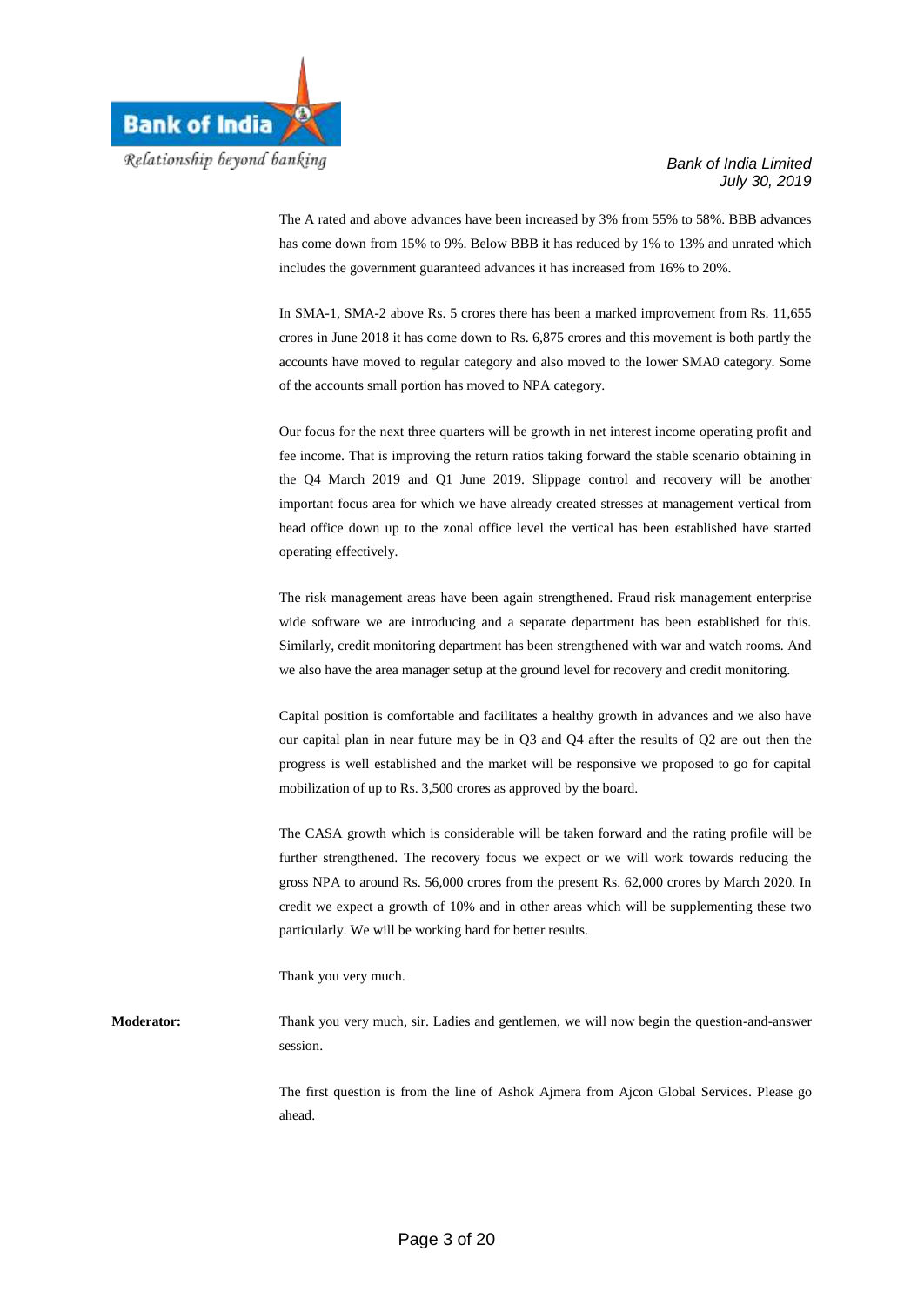

The A rated and above advances have been increased by 3% from 55% to 58%. BBB advances has come down from 15% to 9%. Below BBB it has reduced by 1% to 13% and unrated which includes the government guaranteed advances it has increased from 16% to 20%.

In SMA-1, SMA-2 above Rs. 5 crores there has been a marked improvement from Rs. 11,655 crores in June 2018 it has come down to Rs. 6,875 crores and this movement is both partly the accounts have moved to regular category and also moved to the lower SMA0 category. Some of the accounts small portion has moved to NPA category.

Our focus for the next three quarters will be growth in net interest income operating profit and fee income. That is improving the return ratios taking forward the stable scenario obtaining in the Q4 March 2019 and Q1 June 2019. Slippage control and recovery will be another important focus area for which we have already created stresses at management vertical from head office down up to the zonal office level the vertical has been established have started operating effectively.

The risk management areas have been again strengthened. Fraud risk management enterprise wide software we are introducing and a separate department has been established for this. Similarly, credit monitoring department has been strengthened with war and watch rooms. And we also have the area manager setup at the ground level for recovery and credit monitoring.

Capital position is comfortable and facilitates a healthy growth in advances and we also have our capital plan in near future may be in Q3 and Q4 after the results of Q2 are out then the progress is well established and the market will be responsive we proposed to go for capital mobilization of up to Rs. 3,500 crores as approved by the board.

The CASA growth which is considerable will be taken forward and the rating profile will be further strengthened. The recovery focus we expect or we will work towards reducing the gross NPA to around Rs. 56,000 crores from the present Rs. 62,000 crores by March 2020. In credit we expect a growth of 10% and in other areas which will be supplementing these two particularly. We will be working hard for better results.

Thank you very much.

**Moderator:** Thank you very much, sir. Ladies and gentlemen, we will now begin the question-and-answer session.

> The first question is from the line of Ashok Ajmera from Ajcon Global Services. Please go ahead.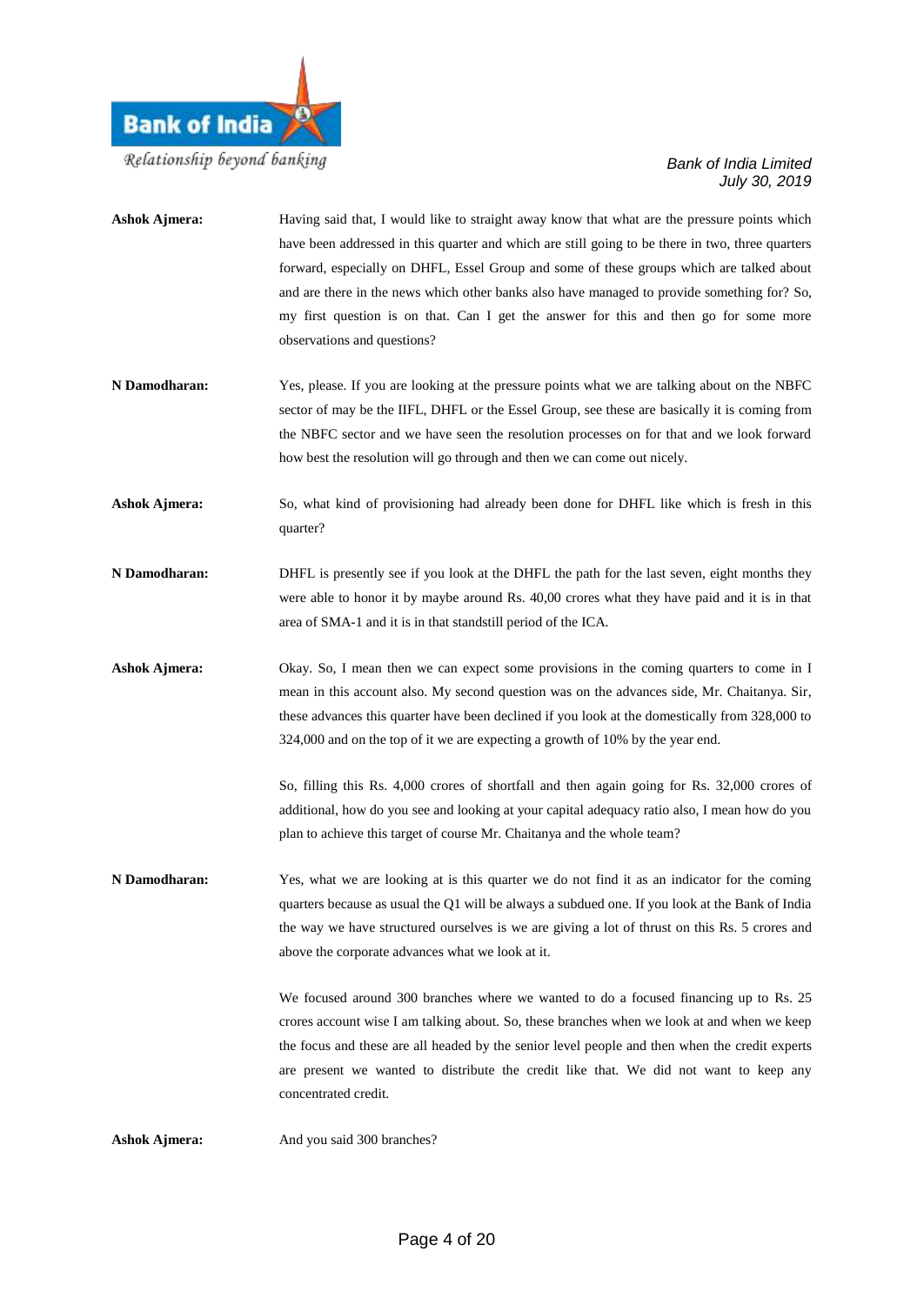

| <b>Ashok Ajmera:</b> | Having said that, I would like to straight away know that what are the pressure points which<br>have been addressed in this quarter and which are still going to be there in two, three quarters<br>forward, especially on DHFL, Essel Group and some of these groups which are talked about<br>and are there in the news which other banks also have managed to provide something for? So,<br>my first question is on that. Can I get the answer for this and then go for some more<br>observations and questions? |
|----------------------|---------------------------------------------------------------------------------------------------------------------------------------------------------------------------------------------------------------------------------------------------------------------------------------------------------------------------------------------------------------------------------------------------------------------------------------------------------------------------------------------------------------------|
| N Damodharan:        | Yes, please. If you are looking at the pressure points what we are talking about on the NBFC<br>sector of may be the IIFL, DHFL or the Essel Group, see these are basically it is coming from<br>the NBFC sector and we have seen the resolution processes on for that and we look forward<br>how best the resolution will go through and then we can come out nicely.                                                                                                                                              |
| <b>Ashok Ajmera:</b> | So, what kind of provisioning had already been done for DHFL like which is fresh in this<br>quarter?                                                                                                                                                                                                                                                                                                                                                                                                                |
| N Damodharan:        | DHFL is presently see if you look at the DHFL the path for the last seven, eight months they<br>were able to honor it by maybe around Rs. 40,00 crores what they have paid and it is in that<br>area of SMA-1 and it is in that standstill period of the ICA.                                                                                                                                                                                                                                                       |
| <b>Ashok Ajmera:</b> | Okay. So, I mean then we can expect some provisions in the coming quarters to come in I<br>mean in this account also. My second question was on the advances side, Mr. Chaitanya. Sir,<br>these advances this quarter have been declined if you look at the domestically from 328,000 to<br>324,000 and on the top of it we are expecting a growth of 10% by the year end.                                                                                                                                          |
|                      | So, filling this Rs. 4,000 crores of shortfall and then again going for Rs. 32,000 crores of<br>additional, how do you see and looking at your capital adequacy ratio also, I mean how do you<br>plan to achieve this target of course Mr. Chaitanya and the whole team?                                                                                                                                                                                                                                            |
| N Damodharan:        | Yes, what we are looking at is this quarter we do not find it as an indicator for the coming<br>quarters because as usual the Q1 will be always a subdued one. If you look at the Bank of India<br>the way we have structured ourselves is we are giving a lot of thrust on this Rs. 5 crores and<br>above the corporate advances what we look at it.                                                                                                                                                               |
|                      | We focused around 300 branches where we wanted to do a focused financing up to Rs. 25<br>crores account wise I am talking about. So, these branches when we look at and when we keep<br>the focus and these are all headed by the senior level people and then when the credit experts<br>are present we wanted to distribute the credit like that. We did not want to keep any<br>concentrated credit.                                                                                                             |

Ashok Ajmera: And you said 300 branches?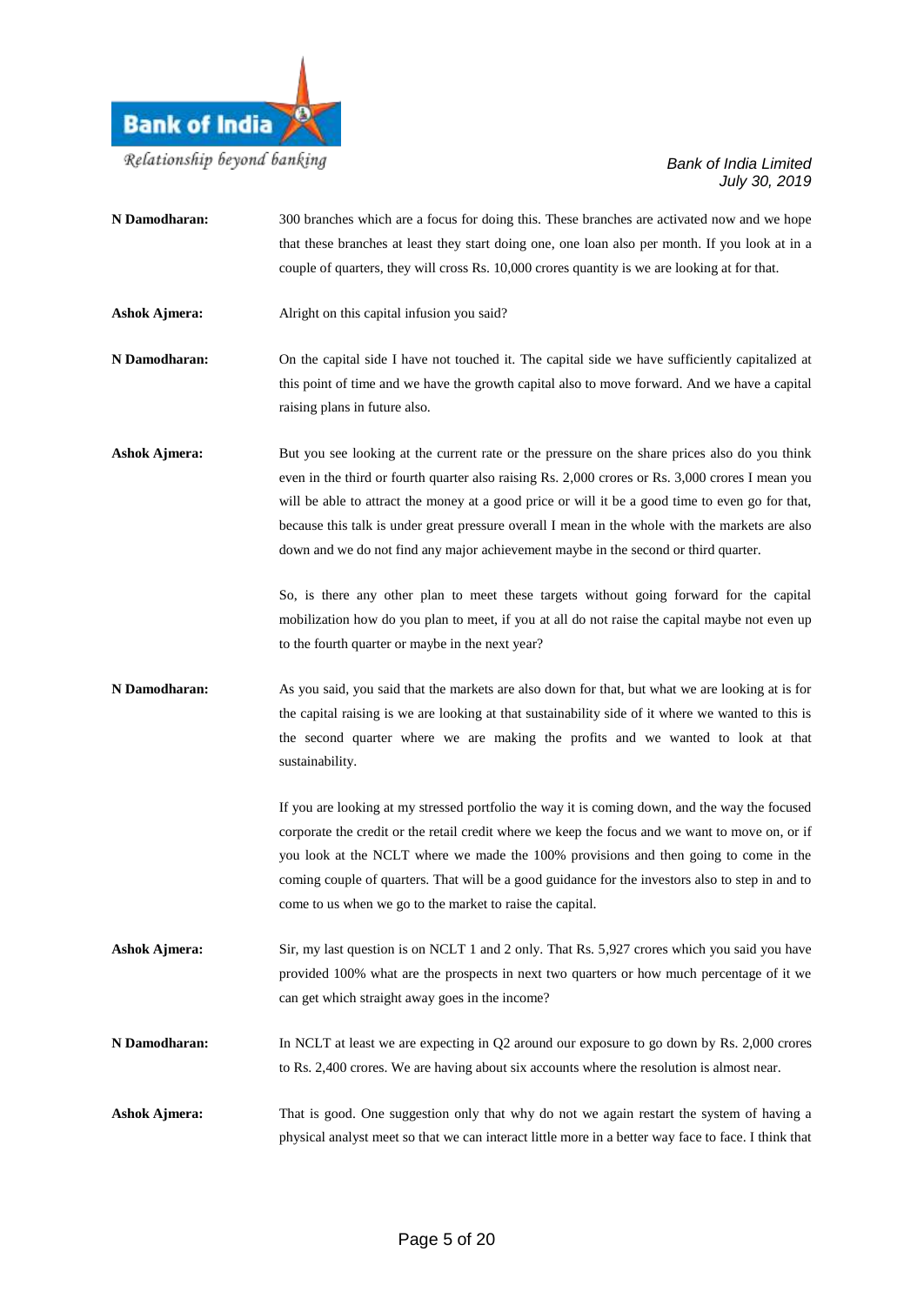

that these branches at least they start doing one, one loan also per month. If you look at in a couple of quarters, they will cross Rs. 10,000 crores quantity is we are looking at for that. Ashok Ajmera: Alright on this capital infusion you said? **N Damodharan:** On the capital side I have not touched it. The capital side we have sufficiently capitalized at this point of time and we have the growth capital also to move forward. And we have a capital raising plans in future also. Ashok Ajmera: But you see looking at the current rate or the pressure on the share prices also do you think even in the third or fourth quarter also raising Rs. 2,000 crores or Rs. 3,000 crores I mean you will be able to attract the money at a good price or will it be a good time to even go for that, because this talk is under great pressure overall I mean in the whole with the markets are also down and we do not find any major achievement maybe in the second or third quarter. So, is there any other plan to meet these targets without going forward for the capital mobilization how do you plan to meet, if you at all do not raise the capital maybe not even up to the fourth quarter or maybe in the next year? **N Damodharan:** As you said, you said that the markets are also down for that, but what we are looking at is for the capital raising is we are looking at that sustainability side of it where we wanted to this is the second quarter where we are making the profits and we wanted to look at that sustainability. If you are looking at my stressed portfolio the way it is coming down, and the way the focused corporate the credit or the retail credit where we keep the focus and we want to move on, or if you look at the NCLT where we made the 100% provisions and then going to come in the coming couple of quarters. That will be a good guidance for the investors also to step in and to come to us when we go to the market to raise the capital. **Ashok Ajmera:** Sir, my last question is on NCLT 1 and 2 only. That Rs. 5,927 crores which you said you have provided 100% what are the prospects in next two quarters or how much percentage of it we

**N Damodharan:** 300 branches which are a focus for doing this. These branches are activated now and we hope

can get which straight away goes in the income? **N Damodharan:** In NCLT at least we are expecting in Q2 around our exposure to go down by Rs. 2,000 crores

to Rs. 2,400 crores. We are having about six accounts where the resolution is almost near.

**Ashok Ajmera:** That is good. One suggestion only that why do not we again restart the system of having a physical analyst meet so that we can interact little more in a better way face to face. I think that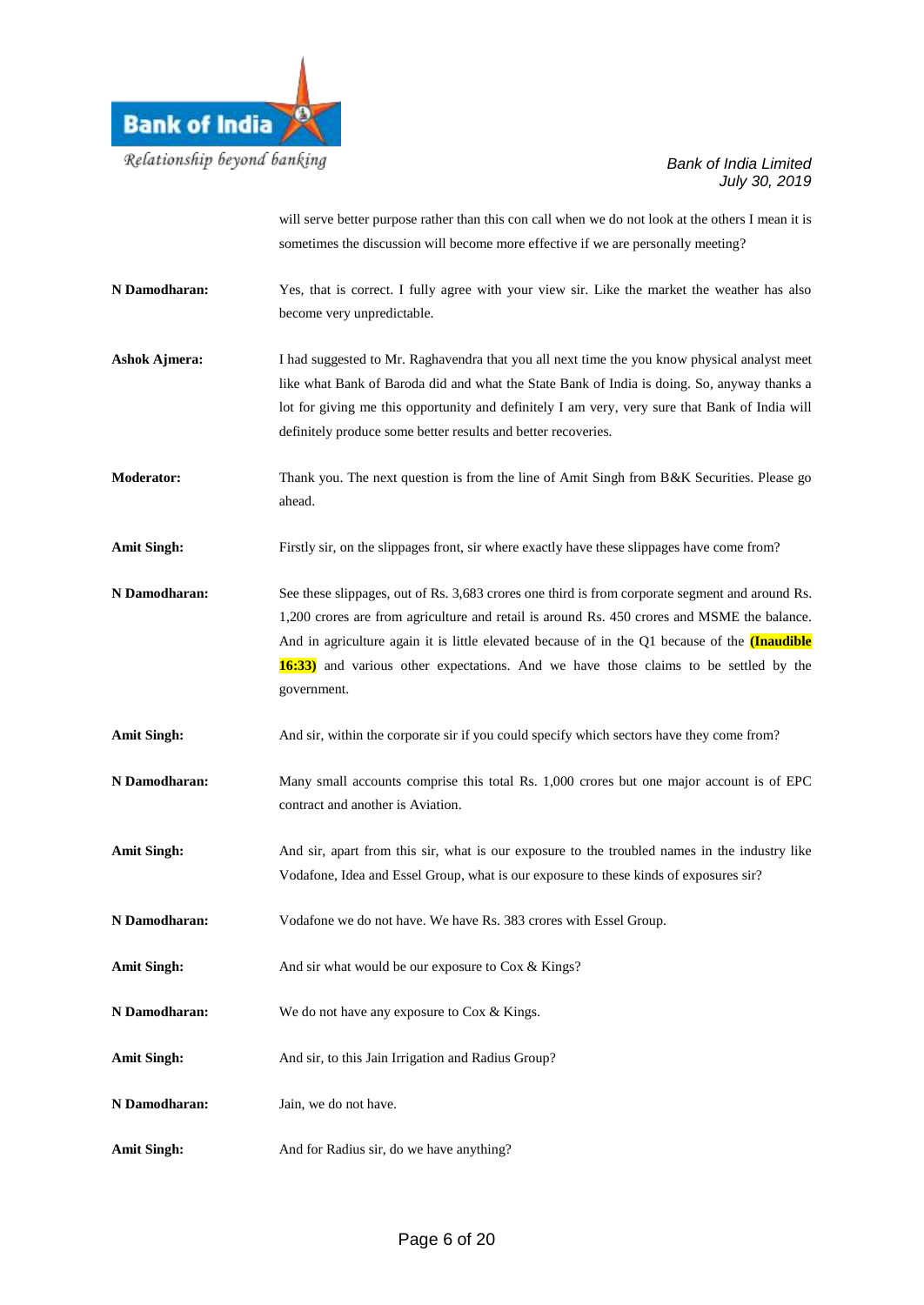

will serve better purpose rather than this con call when we do not look at the others I mean it is sometimes the discussion will become more effective if we are personally meeting?

- **N Damodharan:** Yes, that is correct. I fully agree with your view sir. Like the market the weather has also become very unpredictable.
- **Ashok Ajmera:** I had suggested to Mr. Raghavendra that you all next time the you know physical analyst meet like what Bank of Baroda did and what the State Bank of India is doing. So, anyway thanks a lot for giving me this opportunity and definitely I am very, very sure that Bank of India will definitely produce some better results and better recoveries.
- **Moderator:** Thank you. The next question is from the line of Amit Singh from B&K Securities. Please go ahead.
- Amit Singh: Firstly sir, on the slippages front, sir where exactly have these slippages have come from?
- **N Damodharan:** See these slippages, out of Rs. 3,683 crores one third is from corporate segment and around Rs. 1,200 crores are from agriculture and retail is around Rs. 450 crores and MSME the balance. And in agriculture again it is little elevated because of in the Q1 because of the **(Inaudible 16:33)** and various other expectations. And we have those claims to be settled by the government.
- Amit Singh: And sir, within the corporate sir if you could specify which sectors have they come from?
- **N Damodharan:** Many small accounts comprise this total Rs. 1,000 crores but one major account is of EPC contract and another is Aviation.
- Amit Singh: And sir, apart from this sir, what is our exposure to the troubled names in the industry like Vodafone, Idea and Essel Group, what is our exposure to these kinds of exposures sir?
- **N Damodharan:** Vodafone we do not have. We have Rs. 383 crores with Essel Group.
- Amit Singh: And sir what would be our exposure to Cox & Kings?
- **N Damodharan:** We do not have any exposure to Cox & Kings.
- **Amit Singh:** And sir, to this Jain Irrigation and Radius Group?
- **N Damodharan:** Jain, we do not have.
- Amit Singh: And for Radius sir, do we have anything?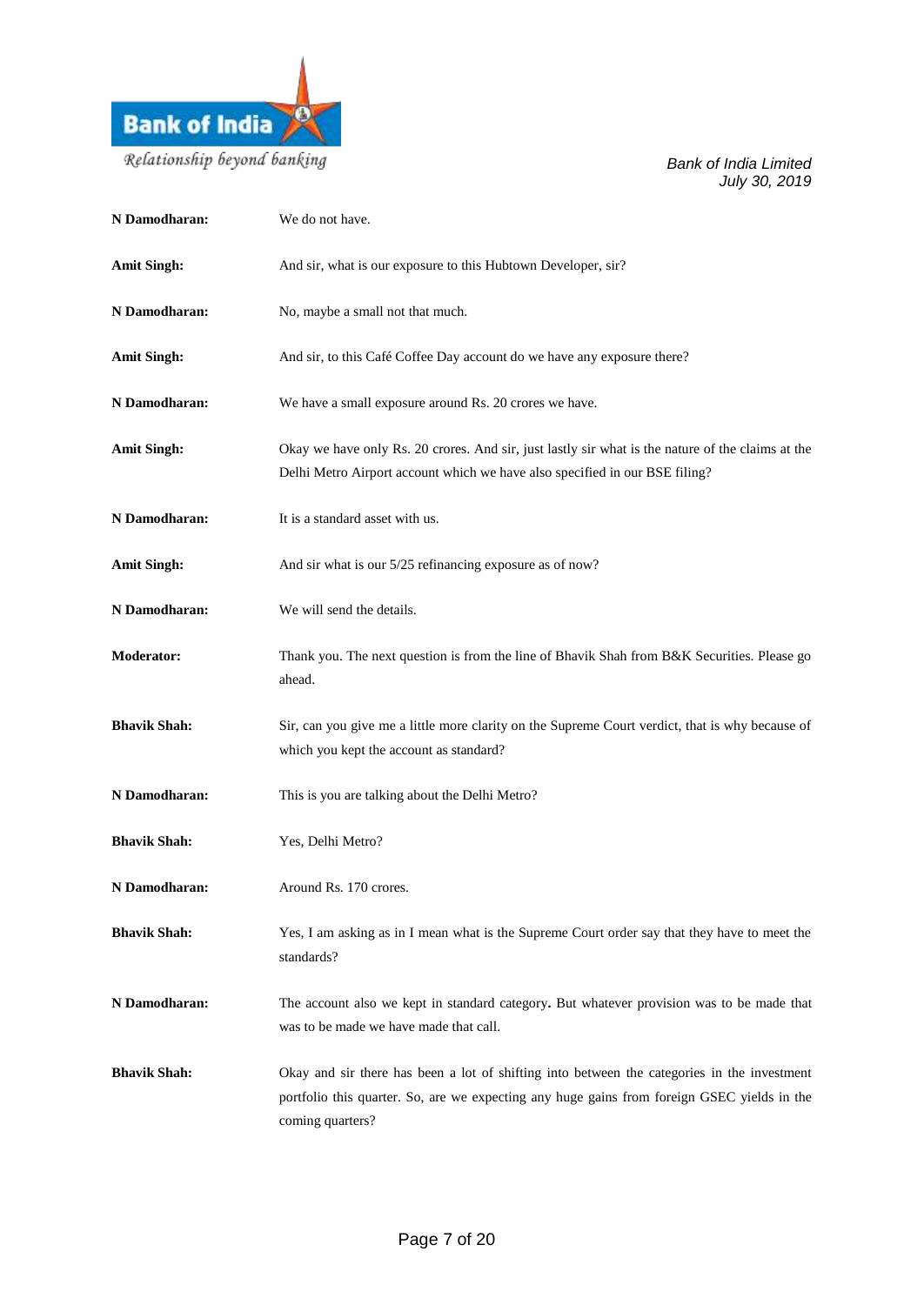

| N Damodharan:       | We do not have.                                                                                                                                                                                                |
|---------------------|----------------------------------------------------------------------------------------------------------------------------------------------------------------------------------------------------------------|
| <b>Amit Singh:</b>  | And sir, what is our exposure to this Hubtown Developer, sir?                                                                                                                                                  |
| N Damodharan:       | No, maybe a small not that much.                                                                                                                                                                               |
| <b>Amit Singh:</b>  | And sir, to this Café Coffee Day account do we have any exposure there?                                                                                                                                        |
| N Damodharan:       | We have a small exposure around Rs. 20 crores we have.                                                                                                                                                         |
| <b>Amit Singh:</b>  | Okay we have only Rs. 20 crores. And sir, just lastly sir what is the nature of the claims at the<br>Delhi Metro Airport account which we have also specified in our BSE filing?                               |
| N Damodharan:       | It is a standard asset with us.                                                                                                                                                                                |
| <b>Amit Singh:</b>  | And sir what is our 5/25 refinancing exposure as of now?                                                                                                                                                       |
| N Damodharan:       | We will send the details.                                                                                                                                                                                      |
| <b>Moderator:</b>   | Thank you. The next question is from the line of Bhavik Shah from B&K Securities. Please go<br>ahead.                                                                                                          |
| <b>Bhavik Shah:</b> | Sir, can you give me a little more clarity on the Supreme Court verdict, that is why because of<br>which you kept the account as standard?                                                                     |
| N Damodharan:       | This is you are talking about the Delhi Metro?                                                                                                                                                                 |
| <b>Bhavik Shah:</b> | Yes, Delhi Metro?                                                                                                                                                                                              |
| N Damodharan:       | Around Rs. 170 crores.                                                                                                                                                                                         |
| <b>Bhavik Shah:</b> | Yes, I am asking as in I mean what is the Supreme Court order say that they have to meet the<br>standards?                                                                                                     |
| N Damodharan:       | The account also we kept in standard category. But whatever provision was to be made that<br>was to be made we have made that call.                                                                            |
| <b>Bhavik Shah:</b> | Okay and sir there has been a lot of shifting into between the categories in the investment<br>portfolio this quarter. So, are we expecting any huge gains from foreign GSEC yields in the<br>coming quarters? |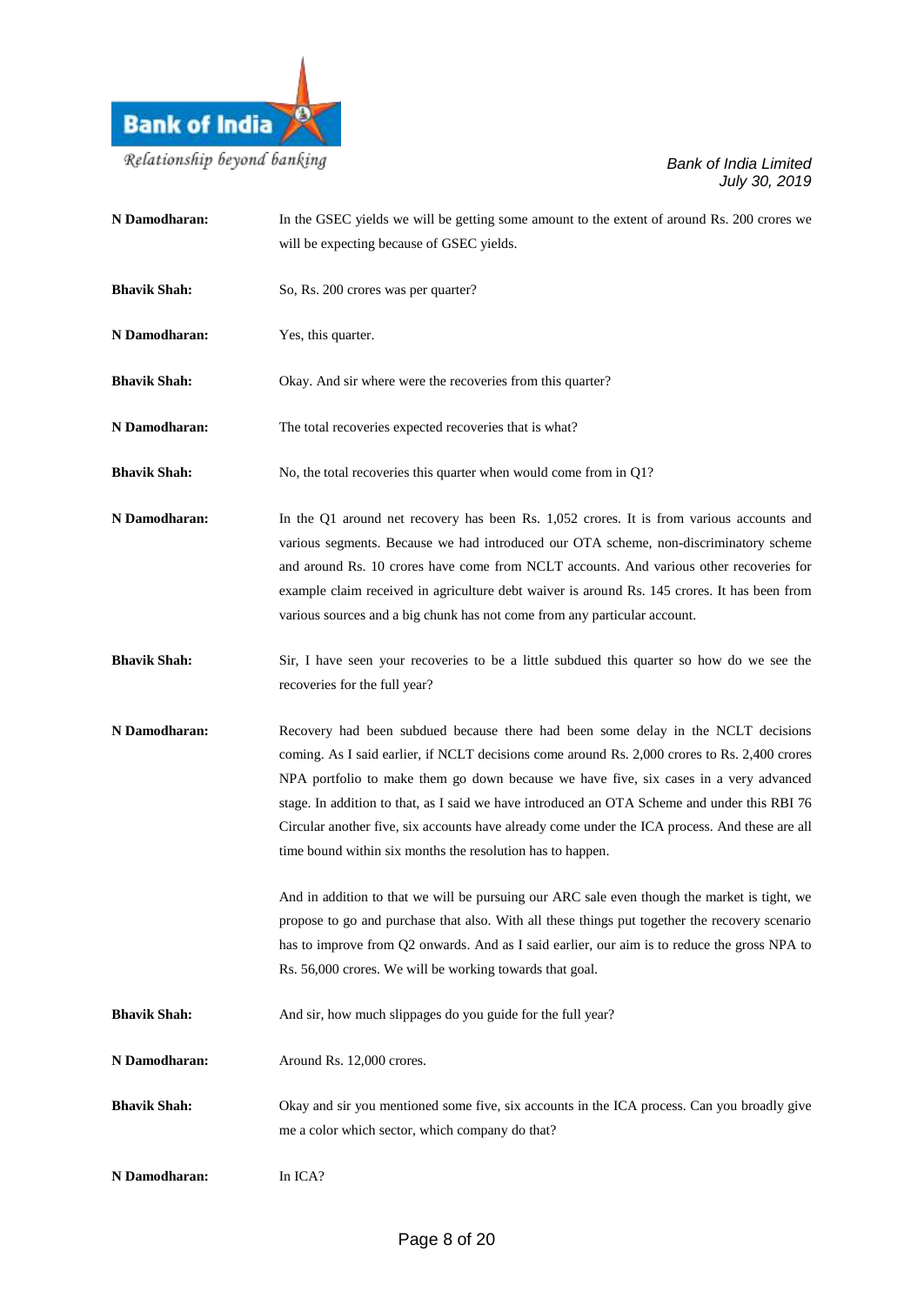

| N Damodharan:       | In the GSEC yields we will be getting some amount to the extent of around Rs. 200 crores we<br>will be expecting because of GSEC yields.                                                                                                                                                                                                                                                                                                                                                                                                    |
|---------------------|---------------------------------------------------------------------------------------------------------------------------------------------------------------------------------------------------------------------------------------------------------------------------------------------------------------------------------------------------------------------------------------------------------------------------------------------------------------------------------------------------------------------------------------------|
| <b>Bhavik Shah:</b> | So, Rs. 200 crores was per quarter?                                                                                                                                                                                                                                                                                                                                                                                                                                                                                                         |
| N Damodharan:       | Yes, this quarter.                                                                                                                                                                                                                                                                                                                                                                                                                                                                                                                          |
| <b>Bhavik Shah:</b> | Okay. And sir where were the recoveries from this quarter?                                                                                                                                                                                                                                                                                                                                                                                                                                                                                  |
| N Damodharan:       | The total recoveries expected recoveries that is what?                                                                                                                                                                                                                                                                                                                                                                                                                                                                                      |
| <b>Bhavik Shah:</b> | No, the total recoveries this quarter when would come from in Q1?                                                                                                                                                                                                                                                                                                                                                                                                                                                                           |
| N Damodharan:       | In the Q1 around net recovery has been Rs. 1,052 crores. It is from various accounts and<br>various segments. Because we had introduced our OTA scheme, non-discriminatory scheme<br>and around Rs. 10 crores have come from NCLT accounts. And various other recoveries for<br>example claim received in agriculture debt waiver is around Rs. 145 crores. It has been from<br>various sources and a big chunk has not come from any particular account.                                                                                   |
| <b>Bhavik Shah:</b> | Sir, I have seen your recoveries to be a little subdued this quarter so how do we see the<br>recoveries for the full year?                                                                                                                                                                                                                                                                                                                                                                                                                  |
| N Damodharan:       | Recovery had been subdued because there had been some delay in the NCLT decisions<br>coming. As I said earlier, if NCLT decisions come around Rs. 2,000 crores to Rs. 2,400 crores<br>NPA portfolio to make them go down because we have five, six cases in a very advanced<br>stage. In addition to that, as I said we have introduced an OTA Scheme and under this RBI 76<br>Circular another five, six accounts have already come under the ICA process. And these are all<br>time bound within six months the resolution has to happen. |
|                     | And in addition to that we will be pursuing our ARC sale even though the market is tight, we<br>propose to go and purchase that also. With all these things put together the recovery scenario<br>has to improve from Q2 onwards. And as I said earlier, our aim is to reduce the gross NPA to<br>Rs. 56,000 crores. We will be working towards that goal.                                                                                                                                                                                  |
| <b>Bhavik Shah:</b> | And sir, how much slippages do you guide for the full year?                                                                                                                                                                                                                                                                                                                                                                                                                                                                                 |
| N Damodharan:       | Around Rs. 12,000 crores.                                                                                                                                                                                                                                                                                                                                                                                                                                                                                                                   |
| <b>Bhavik Shah:</b> | Okay and sir you mentioned some five, six accounts in the ICA process. Can you broadly give<br>me a color which sector, which company do that?                                                                                                                                                                                                                                                                                                                                                                                              |
| N Damodharan:       | In ICA?                                                                                                                                                                                                                                                                                                                                                                                                                                                                                                                                     |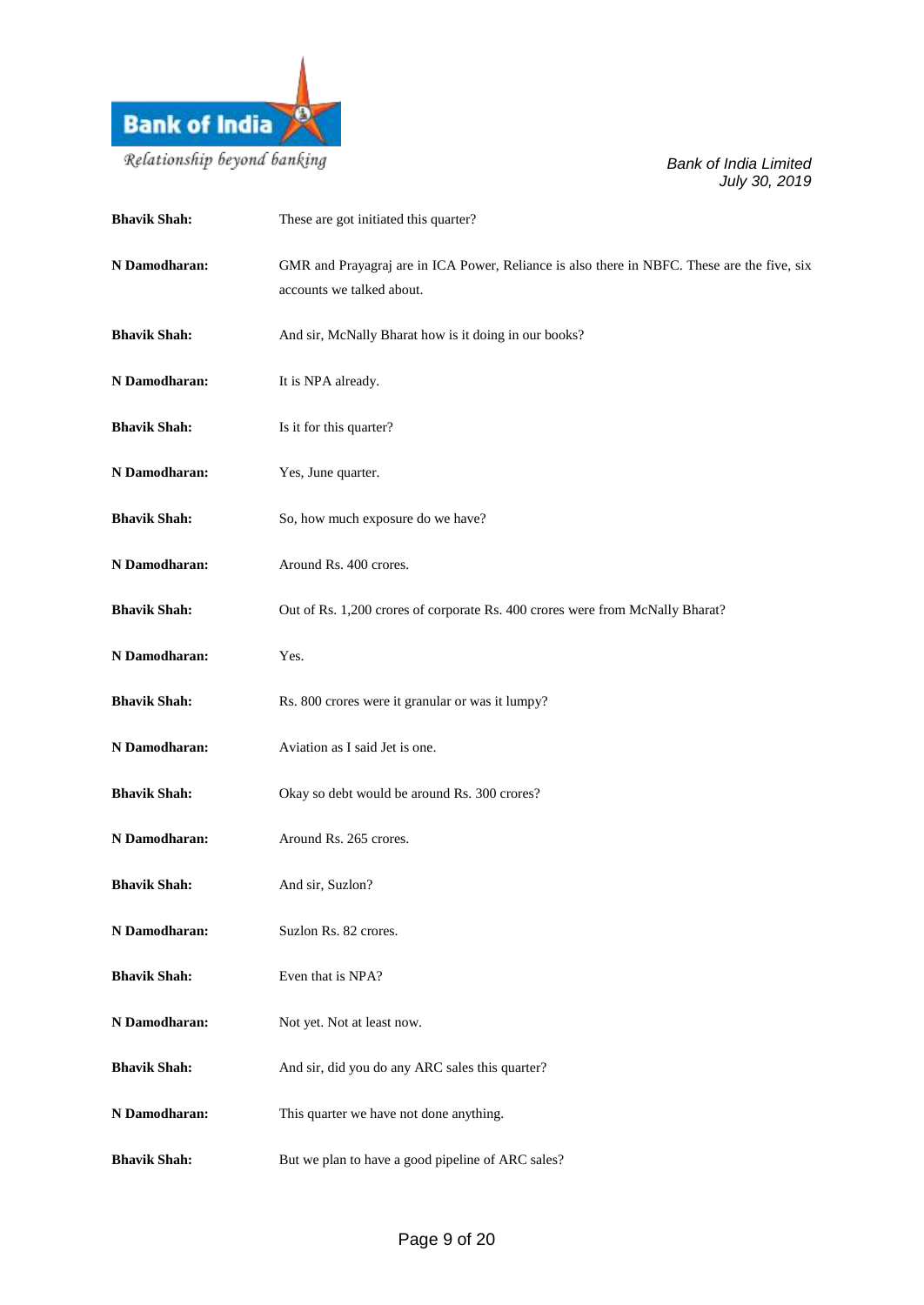

| <b>Bhavik Shah:</b> | These are got initiated this quarter?                                                                                    |
|---------------------|--------------------------------------------------------------------------------------------------------------------------|
| N Damodharan:       | GMR and Prayagraj are in ICA Power, Reliance is also there in NBFC. These are the five, six<br>accounts we talked about. |
| <b>Bhavik Shah:</b> | And sir, McNally Bharat how is it doing in our books?                                                                    |
| N Damodharan:       | It is NPA already.                                                                                                       |
| <b>Bhavik Shah:</b> | Is it for this quarter?                                                                                                  |
| N Damodharan:       | Yes, June quarter.                                                                                                       |
| <b>Bhavik Shah:</b> | So, how much exposure do we have?                                                                                        |
| N Damodharan:       | Around Rs. 400 crores.                                                                                                   |
| <b>Bhavik Shah:</b> | Out of Rs. 1,200 crores of corporate Rs. 400 crores were from McNally Bharat?                                            |
| N Damodharan:       | Yes.                                                                                                                     |
| <b>Bhavik Shah:</b> | Rs. 800 crores were it granular or was it lumpy?                                                                         |
| N Damodharan:       | Aviation as I said Jet is one.                                                                                           |
| <b>Bhavik Shah:</b> | Okay so debt would be around Rs. 300 crores?                                                                             |
| N Damodharan:       | Around Rs. 265 crores.                                                                                                   |
| <b>Bhavik Shah:</b> | And sir, Suzlon?                                                                                                         |
| N Damodharan:       | Suzlon Rs. 82 crores.                                                                                                    |
| <b>Bhavik Shah:</b> | Even that is NPA?                                                                                                        |
| N Damodharan:       | Not yet. Not at least now.                                                                                               |
| <b>Bhavik Shah:</b> | And sir, did you do any ARC sales this quarter?                                                                          |
| N Damodharan:       | This quarter we have not done anything.                                                                                  |
| <b>Bhavik Shah:</b> | But we plan to have a good pipeline of ARC sales?                                                                        |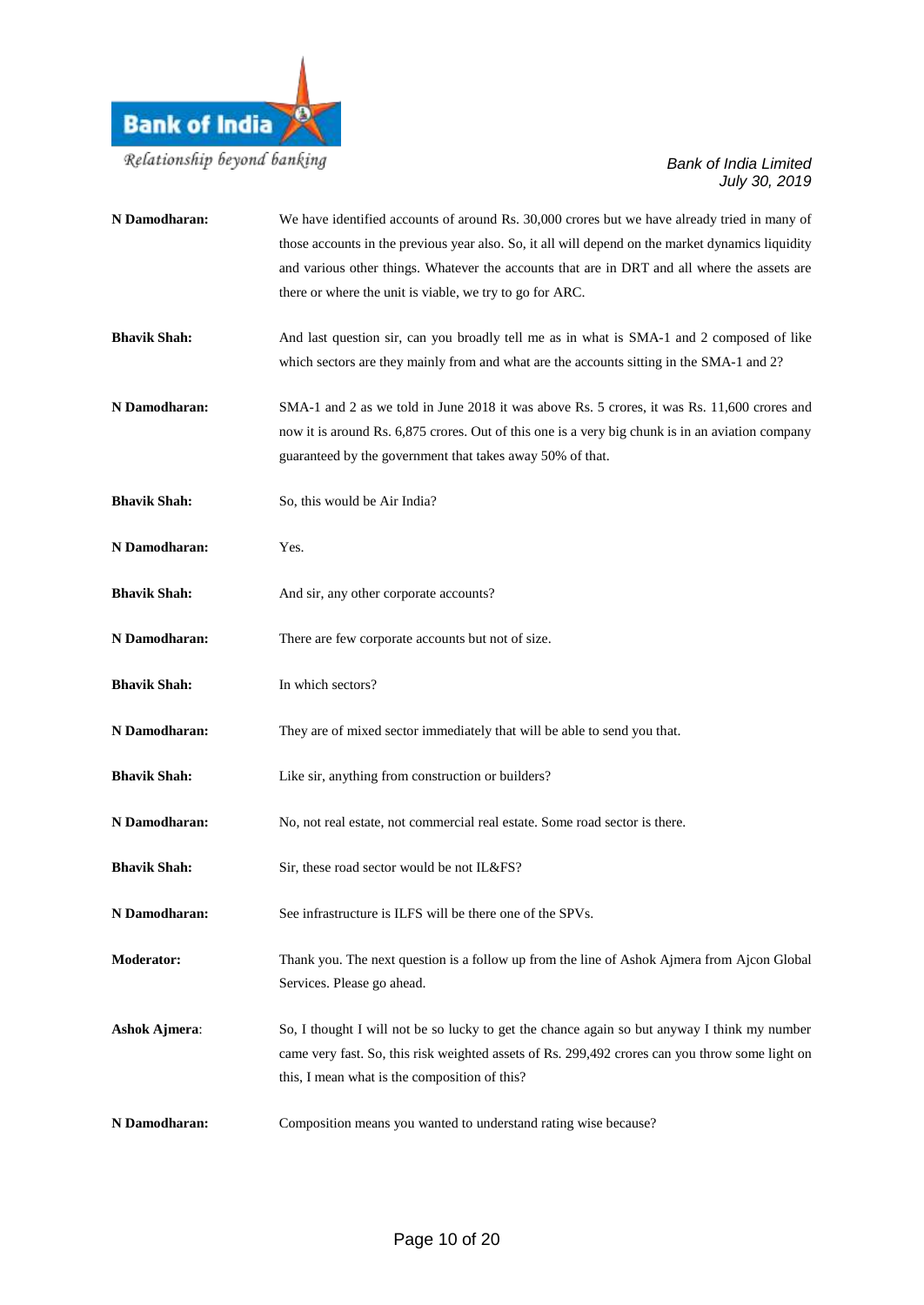

| N Damodharan:        | We have identified accounts of around Rs. 30,000 crores but we have already tried in many of<br>those accounts in the previous year also. So, it all will depend on the market dynamics liquidity<br>and various other things. Whatever the accounts that are in DRT and all where the assets are<br>there or where the unit is viable, we try to go for ARC. |
|----------------------|---------------------------------------------------------------------------------------------------------------------------------------------------------------------------------------------------------------------------------------------------------------------------------------------------------------------------------------------------------------|
| <b>Bhavik Shah:</b>  | And last question sir, can you broadly tell me as in what is SMA-1 and 2 composed of like<br>which sectors are they mainly from and what are the accounts sitting in the SMA-1 and 2?                                                                                                                                                                         |
| N Damodharan:        | SMA-1 and 2 as we told in June 2018 it was above Rs. 5 crores, it was Rs. 11,600 crores and<br>now it is around Rs. 6,875 crores. Out of this one is a very big chunk is in an aviation company<br>guaranteed by the government that takes away 50% of that.                                                                                                  |
| <b>Bhavik Shah:</b>  | So, this would be Air India?                                                                                                                                                                                                                                                                                                                                  |
| N Damodharan:        | Yes.                                                                                                                                                                                                                                                                                                                                                          |
| <b>Bhavik Shah:</b>  | And sir, any other corporate accounts?                                                                                                                                                                                                                                                                                                                        |
| N Damodharan:        | There are few corporate accounts but not of size.                                                                                                                                                                                                                                                                                                             |
| <b>Bhavik Shah:</b>  | In which sectors?                                                                                                                                                                                                                                                                                                                                             |
| N Damodharan:        | They are of mixed sector immediately that will be able to send you that.                                                                                                                                                                                                                                                                                      |
| <b>Bhavik Shah:</b>  | Like sir, anything from construction or builders?                                                                                                                                                                                                                                                                                                             |
| N Damodharan:        | No, not real estate, not commercial real estate. Some road sector is there.                                                                                                                                                                                                                                                                                   |
| <b>Bhavik Shah:</b>  | Sir, these road sector would be not IL&FS?                                                                                                                                                                                                                                                                                                                    |
| N Damodharan:        | See infrastructure is ILFS will be there one of the SPVs.                                                                                                                                                                                                                                                                                                     |
| <b>Moderator:</b>    | Thank you. The next question is a follow up from the line of Ashok Ajmera from Ajcon Global<br>Services. Please go ahead.                                                                                                                                                                                                                                     |
| <b>Ashok Ajmera:</b> | So, I thought I will not be so lucky to get the chance again so but anyway I think my number<br>came very fast. So, this risk weighted assets of Rs. 299,492 crores can you throw some light on<br>this, I mean what is the composition of this?                                                                                                              |
| N Damodharan:        | Composition means you wanted to understand rating wise because?                                                                                                                                                                                                                                                                                               |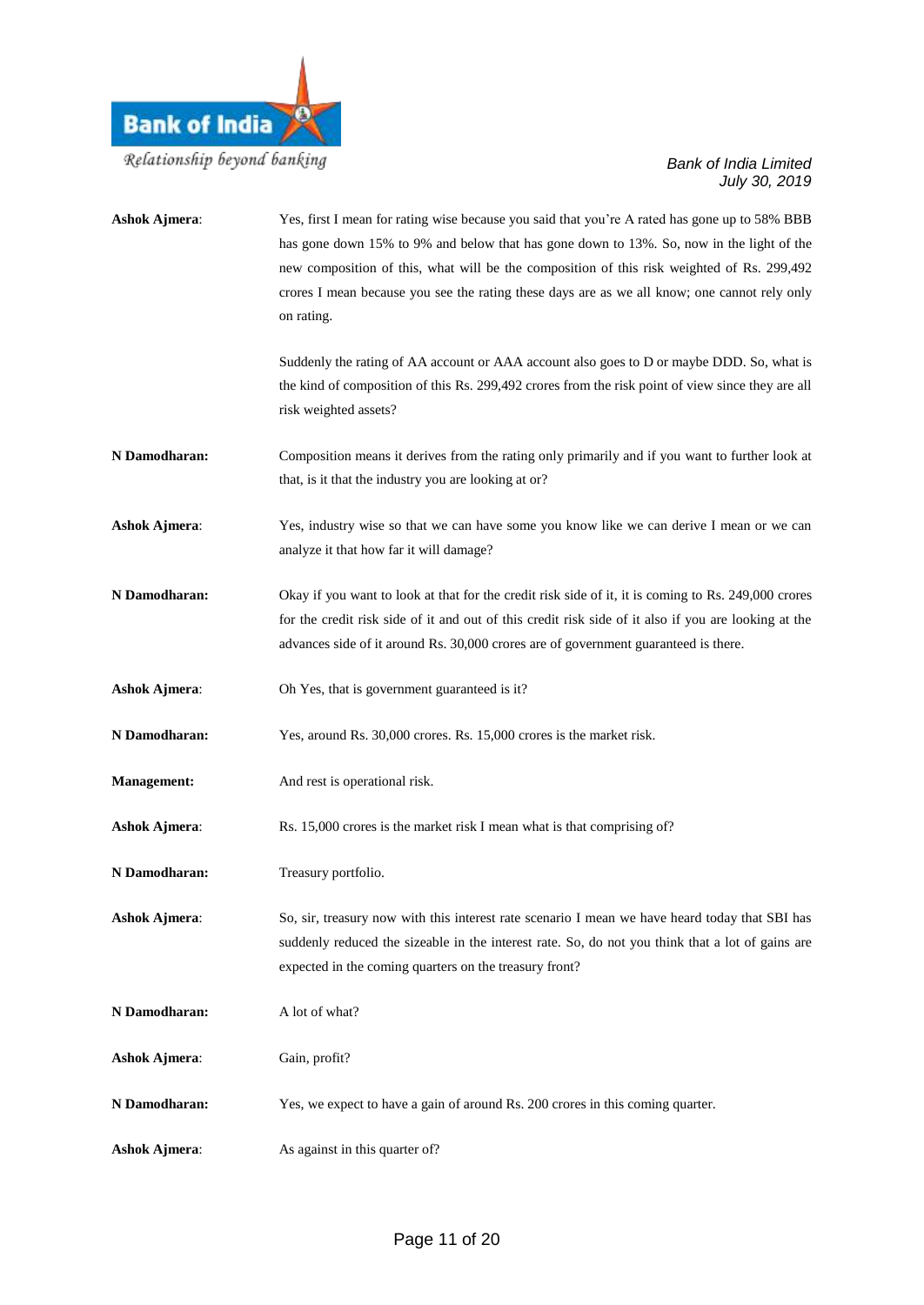

| <b>Ashok Ajmera:</b> | Yes, first I mean for rating wise because you said that you're A rated has gone up to 58% BBB<br>has gone down 15% to 9% and below that has gone down to 13%. So, now in the light of the<br>new composition of this, what will be the composition of this risk weighted of Rs. 299,492<br>crores I mean because you see the rating these days are as we all know; one cannot rely only<br>on rating. |
|----------------------|-------------------------------------------------------------------------------------------------------------------------------------------------------------------------------------------------------------------------------------------------------------------------------------------------------------------------------------------------------------------------------------------------------|
|                      | Suddenly the rating of AA account or AAA account also goes to D or maybe DDD. So, what is<br>the kind of composition of this Rs. 299,492 crores from the risk point of view since they are all<br>risk weighted assets?                                                                                                                                                                               |
| N Damodharan:        | Composition means it derives from the rating only primarily and if you want to further look at<br>that, is it that the industry you are looking at or?                                                                                                                                                                                                                                                |
| <b>Ashok Ajmera:</b> | Yes, industry wise so that we can have some you know like we can derive I mean or we can<br>analyze it that how far it will damage?                                                                                                                                                                                                                                                                   |
| N Damodharan:        | Okay if you want to look at that for the credit risk side of it, it is coming to Rs. 249,000 crores<br>for the credit risk side of it and out of this credit risk side of it also if you are looking at the<br>advances side of it around Rs. 30,000 crores are of government guaranteed is there.                                                                                                    |
| <b>Ashok Ajmera:</b> | Oh Yes, that is government guaranteed is it?                                                                                                                                                                                                                                                                                                                                                          |
| N Damodharan:        | Yes, around Rs. 30,000 crores. Rs. 15,000 crores is the market risk.                                                                                                                                                                                                                                                                                                                                  |
| <b>Management:</b>   | And rest is operational risk.                                                                                                                                                                                                                                                                                                                                                                         |
| <b>Ashok Ajmera:</b> | Rs. 15,000 crores is the market risk I mean what is that comprising of?                                                                                                                                                                                                                                                                                                                               |
| N Damodharan:        | Treasury portfolio.                                                                                                                                                                                                                                                                                                                                                                                   |
| <b>Ashok Ajmera:</b> | So, sir, treasury now with this interest rate scenario I mean we have heard today that SBI has<br>suddenly reduced the sizeable in the interest rate. So, do not you think that a lot of gains are<br>expected in the coming quarters on the treasury front?                                                                                                                                          |
| N Damodharan:        | A lot of what?                                                                                                                                                                                                                                                                                                                                                                                        |
| <b>Ashok Ajmera:</b> | Gain, profit?                                                                                                                                                                                                                                                                                                                                                                                         |
| N Damodharan:        | Yes, we expect to have a gain of around Rs. 200 crores in this coming quarter.                                                                                                                                                                                                                                                                                                                        |
| <b>Ashok Ajmera:</b> | As against in this quarter of?                                                                                                                                                                                                                                                                                                                                                                        |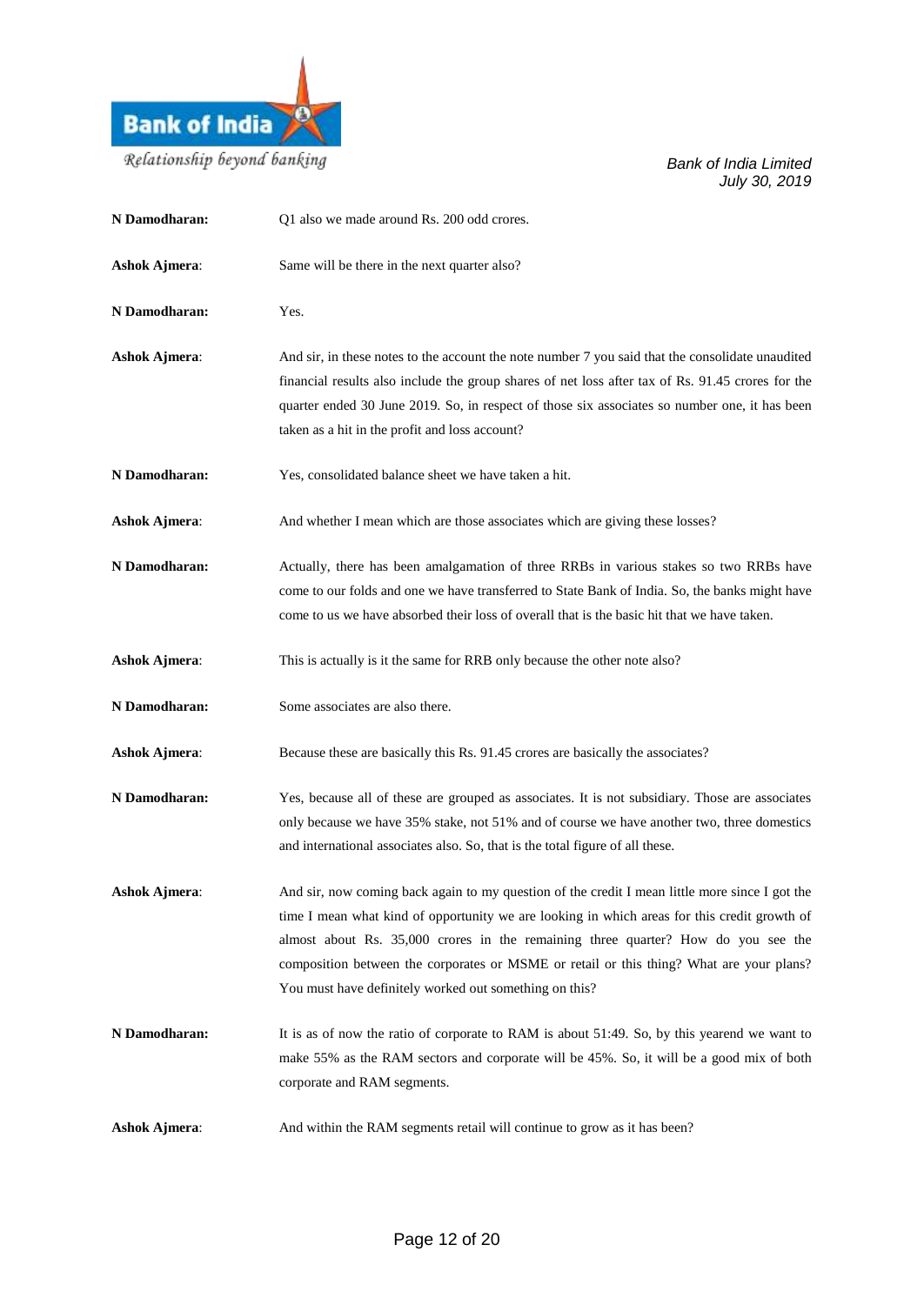

| N Damodharan:        | Q1 also we made around Rs. 200 odd crores.                                                                                                                                                                                                                                                                                                                                                                                                |
|----------------------|-------------------------------------------------------------------------------------------------------------------------------------------------------------------------------------------------------------------------------------------------------------------------------------------------------------------------------------------------------------------------------------------------------------------------------------------|
| <b>Ashok Ajmera:</b> | Same will be there in the next quarter also?                                                                                                                                                                                                                                                                                                                                                                                              |
| N Damodharan:        | Yes.                                                                                                                                                                                                                                                                                                                                                                                                                                      |
| <b>Ashok Ajmera:</b> | And sir, in these notes to the account the note number 7 you said that the consolidate unaudited<br>financial results also include the group shares of net loss after tax of Rs. 91.45 crores for the<br>quarter ended 30 June 2019. So, in respect of those six associates so number one, it has been<br>taken as a hit in the profit and loss account?                                                                                  |
| N Damodharan:        | Yes, consolidated balance sheet we have taken a hit.                                                                                                                                                                                                                                                                                                                                                                                      |
| <b>Ashok Ajmera:</b> | And whether I mean which are those associates which are giving these losses?                                                                                                                                                                                                                                                                                                                                                              |
| N Damodharan:        | Actually, there has been amalgamation of three RRBs in various stakes so two RRBs have<br>come to our folds and one we have transferred to State Bank of India. So, the banks might have<br>come to us we have absorbed their loss of overall that is the basic hit that we have taken.                                                                                                                                                   |
| <b>Ashok Ajmera:</b> | This is actually is it the same for RRB only because the other note also?                                                                                                                                                                                                                                                                                                                                                                 |
| N Damodharan:        | Some associates are also there.                                                                                                                                                                                                                                                                                                                                                                                                           |
| <b>Ashok Ajmera:</b> | Because these are basically this Rs. 91.45 crores are basically the associates?                                                                                                                                                                                                                                                                                                                                                           |
| N Damodharan:        | Yes, because all of these are grouped as associates. It is not subsidiary. Those are associates<br>only because we have 35% stake, not 51% and of course we have another two, three domestics<br>and international associates also. So, that is the total figure of all these.                                                                                                                                                            |
| <b>Ashok Ajmera:</b> | And sir, now coming back again to my question of the credit I mean little more since I got the<br>time I mean what kind of opportunity we are looking in which areas for this credit growth of<br>almost about Rs. 35,000 crores in the remaining three quarter? How do you see the<br>composition between the corporates or MSME or retail or this thing? What are your plans?<br>You must have definitely worked out something on this? |
| N Damodharan:        | It is as of now the ratio of corporate to RAM is about 51:49. So, by this yearend we want to<br>make 55% as the RAM sectors and corporate will be 45%. So, it will be a good mix of both<br>corporate and RAM segments.                                                                                                                                                                                                                   |
| <b>Ashok Ajmera:</b> | And within the RAM segments retail will continue to grow as it has been?                                                                                                                                                                                                                                                                                                                                                                  |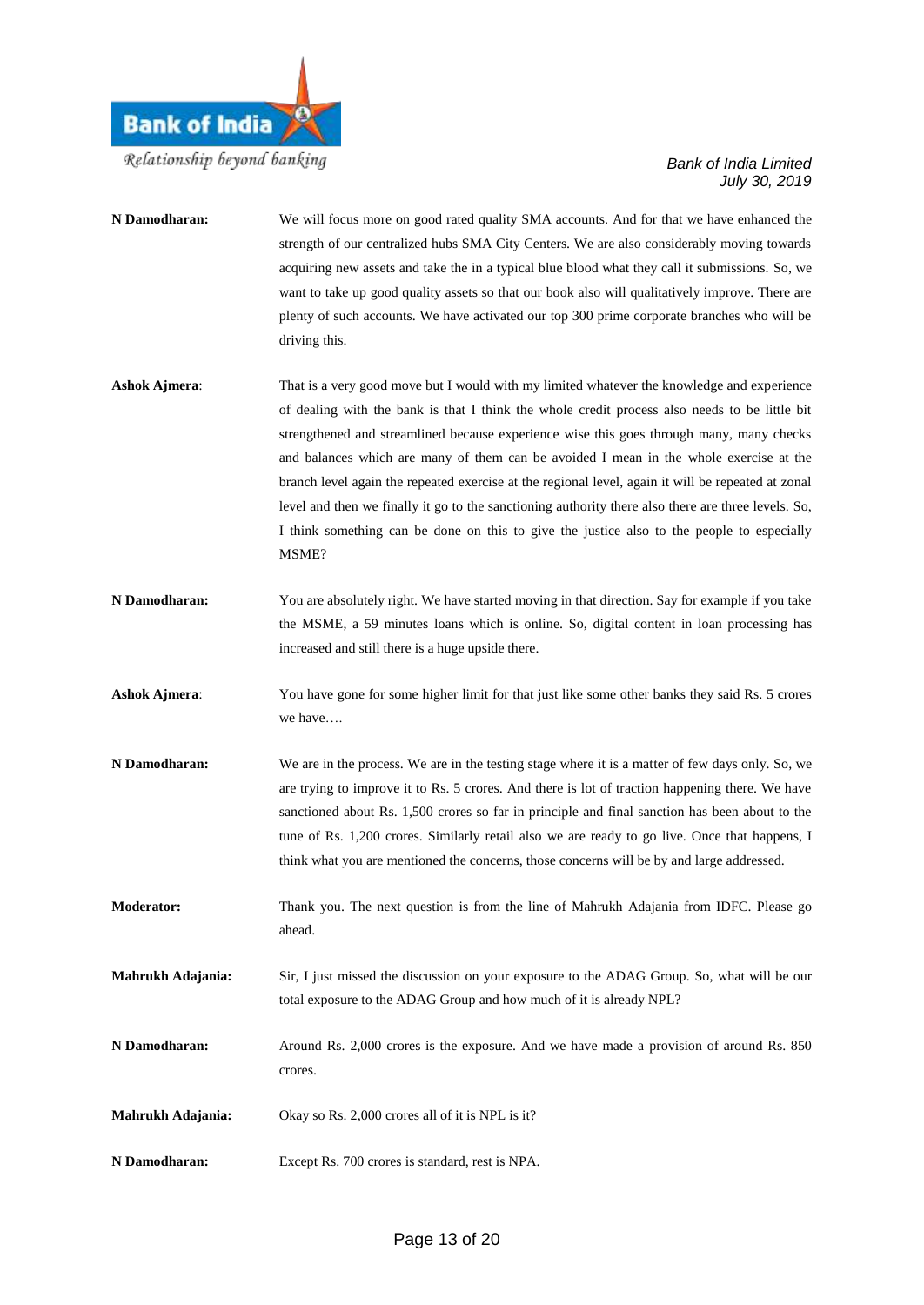

| N Damodharan:        | We will focus more on good rated quality SMA accounts. And for that we have enhanced the<br>strength of our centralized hubs SMA City Centers. We are also considerably moving towards<br>acquiring new assets and take the in a typical blue blood what they call it submissions. So, we<br>want to take up good quality assets so that our book also will qualitatively improve. There are<br>plenty of such accounts. We have activated our top 300 prime corporate branches who will be<br>driving this.                                                                                                                                                                                          |
|----------------------|-------------------------------------------------------------------------------------------------------------------------------------------------------------------------------------------------------------------------------------------------------------------------------------------------------------------------------------------------------------------------------------------------------------------------------------------------------------------------------------------------------------------------------------------------------------------------------------------------------------------------------------------------------------------------------------------------------|
| <b>Ashok Ajmera:</b> | That is a very good move but I would with my limited whatever the knowledge and experience<br>of dealing with the bank is that I think the whole credit process also needs to be little bit<br>strengthened and streamlined because experience wise this goes through many, many checks<br>and balances which are many of them can be avoided I mean in the whole exercise at the<br>branch level again the repeated exercise at the regional level, again it will be repeated at zonal<br>level and then we finally it go to the sanctioning authority there also there are three levels. So,<br>I think something can be done on this to give the justice also to the people to especially<br>MSME? |
| N Damodharan:        | You are absolutely right. We have started moving in that direction. Say for example if you take<br>the MSME, a 59 minutes loans which is online. So, digital content in loan processing has<br>increased and still there is a huge upside there.                                                                                                                                                                                                                                                                                                                                                                                                                                                      |
| <b>Ashok Ajmera:</b> | You have gone for some higher limit for that just like some other banks they said Rs. 5 crores<br>we have                                                                                                                                                                                                                                                                                                                                                                                                                                                                                                                                                                                             |
| N Damodharan:        | We are in the process. We are in the testing stage where it is a matter of few days only. So, we<br>are trying to improve it to Rs. 5 crores. And there is lot of traction happening there. We have<br>sanctioned about Rs. 1,500 crores so far in principle and final sanction has been about to the<br>tune of Rs. 1,200 crores. Similarly retail also we are ready to go live. Once that happens, I<br>think what you are mentioned the concerns, those concerns will be by and large addressed.                                                                                                                                                                                                   |
| <b>Moderator:</b>    | Thank you. The next question is from the line of Mahrukh Adajania from IDFC. Please go                                                                                                                                                                                                                                                                                                                                                                                                                                                                                                                                                                                                                |

**Mahrukh Adajania:** Sir, I just missed the discussion on your exposure to the ADAG Group. So, what will be our total exposure to the ADAG Group and how much of it is already NPL?

**N Damodharan:** Around Rs. 2,000 crores is the exposure. And we have made a provision of around Rs. 850 crores.

**Mahrukh Adajania:** Okay so Rs. 2,000 crores all of it is NPL is it?

ahead.

**N Damodharan:** Except Rs. 700 crores is standard, rest is NPA.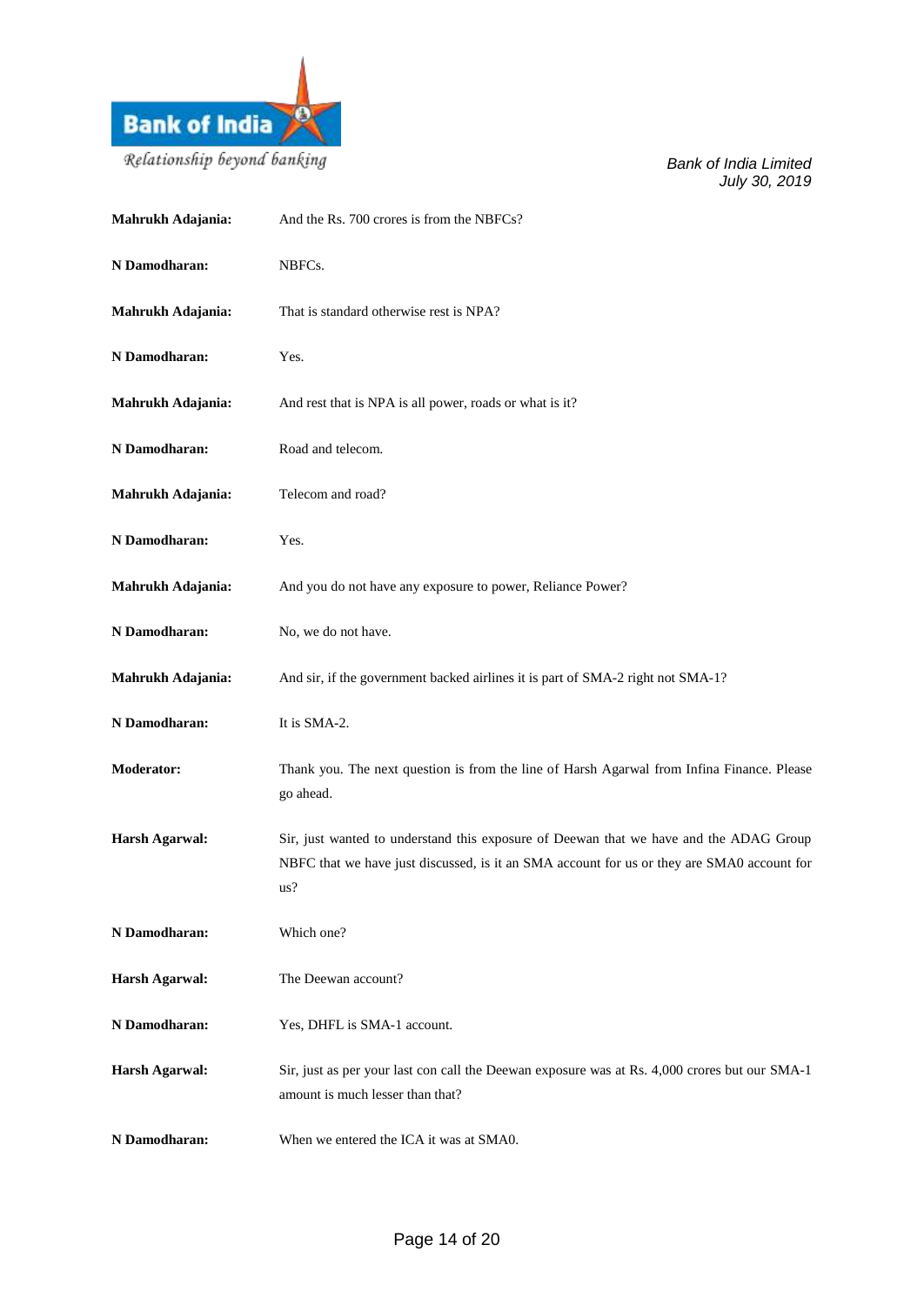

| Mahrukh Adajania:     | And the Rs. 700 crores is from the NBFCs?                                                                                                                                                   |
|-----------------------|---------------------------------------------------------------------------------------------------------------------------------------------------------------------------------------------|
| N Damodharan:         | NBFCs.                                                                                                                                                                                      |
| Mahrukh Adajania:     | That is standard otherwise rest is NPA?                                                                                                                                                     |
| N Damodharan:         | Yes.                                                                                                                                                                                        |
| Mahrukh Adajania:     | And rest that is NPA is all power, roads or what is it?                                                                                                                                     |
| N Damodharan:         | Road and telecom.                                                                                                                                                                           |
| Mahrukh Adajania:     | Telecom and road?                                                                                                                                                                           |
| N Damodharan:         | Yes.                                                                                                                                                                                        |
| Mahrukh Adajania:     | And you do not have any exposure to power, Reliance Power?                                                                                                                                  |
| N Damodharan:         | No, we do not have.                                                                                                                                                                         |
| Mahrukh Adajania:     | And sir, if the government backed airlines it is part of SMA-2 right not SMA-1?                                                                                                             |
| N Damodharan:         | It is SMA-2.                                                                                                                                                                                |
| Moderator:            | Thank you. The next question is from the line of Harsh Agarwal from Infina Finance. Please<br>go ahead.                                                                                     |
| <b>Harsh Agarwal:</b> | Sir, just wanted to understand this exposure of Deewan that we have and the ADAG Group<br>NBFC that we have just discussed, is it an SMA account for us or they are SMA0 account for<br>us? |
| N Damodharan:         | Which one?                                                                                                                                                                                  |
| <b>Harsh Agarwal:</b> | The Deewan account?                                                                                                                                                                         |
| N Damodharan:         | Yes, DHFL is SMA-1 account.                                                                                                                                                                 |
| <b>Harsh Agarwal:</b> | Sir, just as per your last con call the Deewan exposure was at Rs. 4,000 crores but our SMA-1<br>amount is much lesser than that?                                                           |
| N Damodharan:         | When we entered the ICA it was at SMA0.                                                                                                                                                     |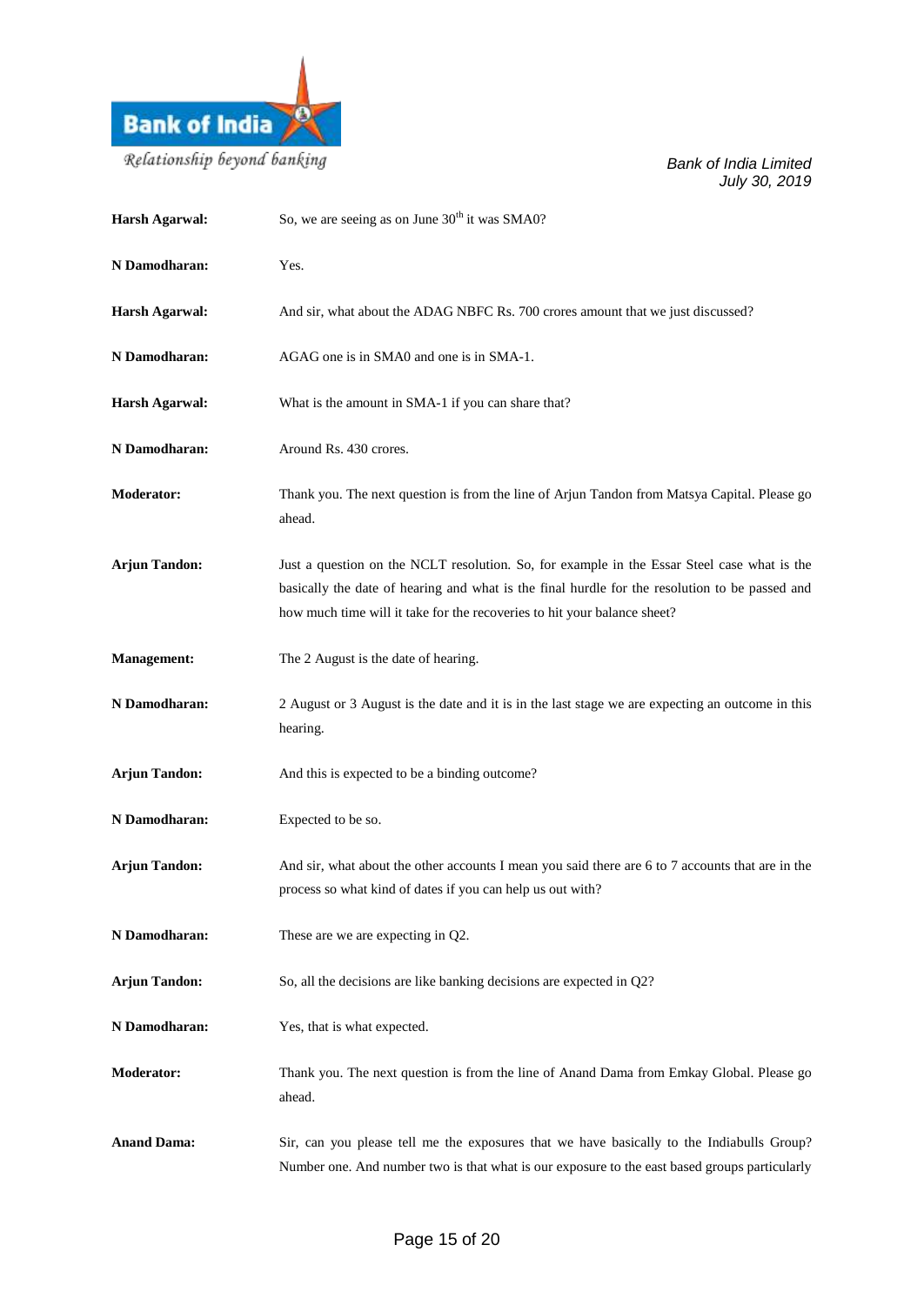

| <b>Harsh Agarwal:</b> | So, we are seeing as on June 30 <sup>th</sup> it was SMA0?                                                                                                                                                                                                                |
|-----------------------|---------------------------------------------------------------------------------------------------------------------------------------------------------------------------------------------------------------------------------------------------------------------------|
| N Damodharan:         | Yes.                                                                                                                                                                                                                                                                      |
| <b>Harsh Agarwal:</b> | And sir, what about the ADAG NBFC Rs. 700 crores amount that we just discussed?                                                                                                                                                                                           |
| N Damodharan:         | AGAG one is in SMA0 and one is in SMA-1.                                                                                                                                                                                                                                  |
| Harsh Agarwal:        | What is the amount in SMA-1 if you can share that?                                                                                                                                                                                                                        |
| N Damodharan:         | Around Rs. 430 crores.                                                                                                                                                                                                                                                    |
| <b>Moderator:</b>     | Thank you. The next question is from the line of Arjun Tandon from Matsya Capital. Please go<br>ahead.                                                                                                                                                                    |
| <b>Arjun Tandon:</b>  | Just a question on the NCLT resolution. So, for example in the Essar Steel case what is the<br>basically the date of hearing and what is the final hurdle for the resolution to be passed and<br>how much time will it take for the recoveries to hit your balance sheet? |
| <b>Management:</b>    | The 2 August is the date of hearing.                                                                                                                                                                                                                                      |
| N Damodharan:         | 2 August or 3 August is the date and it is in the last stage we are expecting an outcome in this<br>hearing.                                                                                                                                                              |
| <b>Arjun Tandon:</b>  | And this is expected to be a binding outcome?                                                                                                                                                                                                                             |
| N Damodharan:         | Expected to be so.                                                                                                                                                                                                                                                        |
| <b>Arjun Tandon:</b>  | And sir, what about the other accounts I mean you said there are 6 to 7 accounts that are in the<br>process so what kind of dates if you can help us out with?                                                                                                            |
| N Damodharan:         |                                                                                                                                                                                                                                                                           |
|                       | These are we are expecting in Q2.                                                                                                                                                                                                                                         |
| <b>Arjun Tandon:</b>  | So, all the decisions are like banking decisions are expected in Q2?                                                                                                                                                                                                      |
| N Damodharan:         | Yes, that is what expected.                                                                                                                                                                                                                                               |
| <b>Moderator:</b>     | Thank you. The next question is from the line of Anand Dama from Emkay Global. Please go<br>ahead.                                                                                                                                                                        |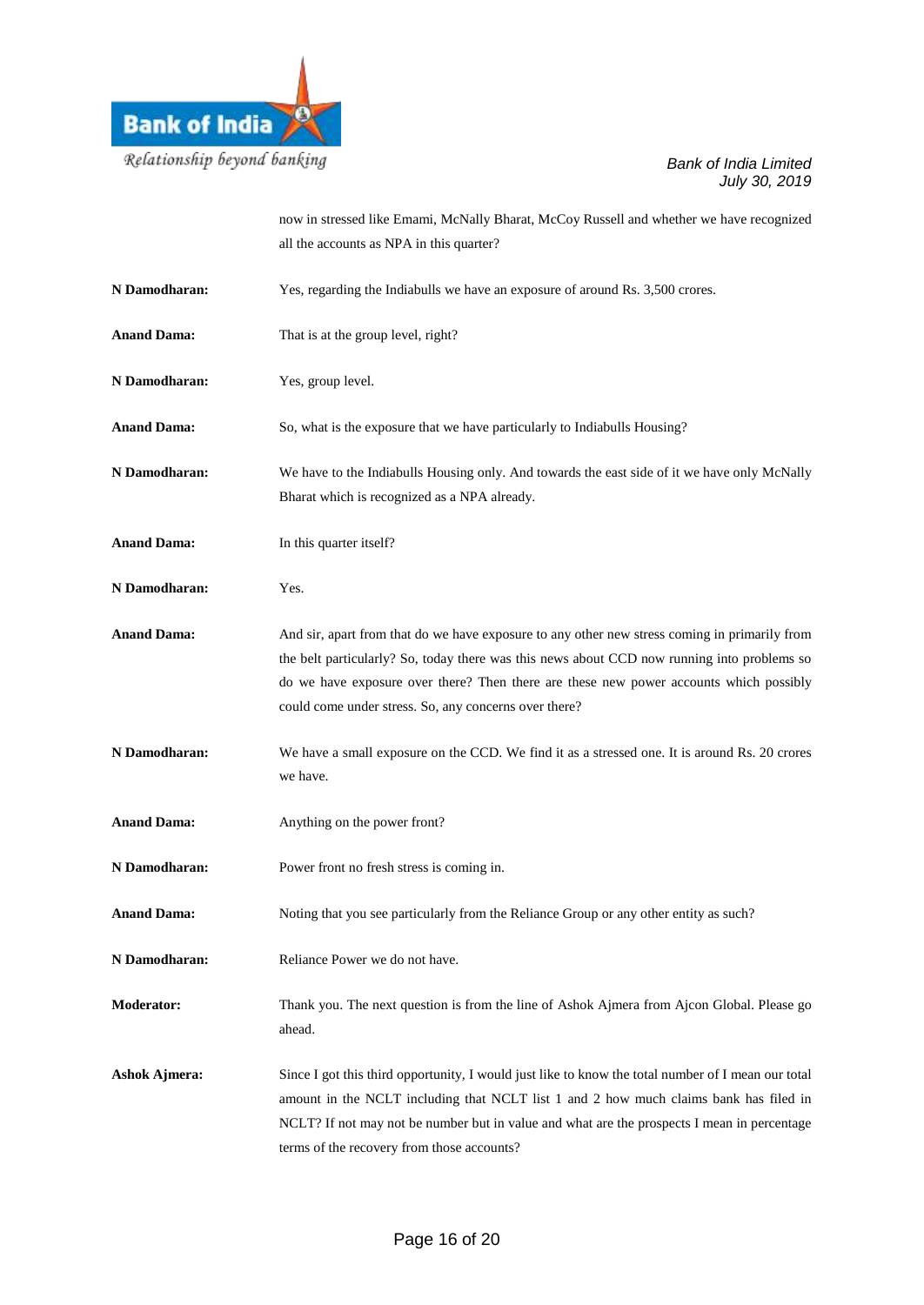

now in stressed like Emami, McNally Bharat, McCoy Russell and whether we have recognized all the accounts as NPA in this quarter?

| N Damodharan:        | Yes, regarding the Indiabulls we have an exposure of around Rs. 3,500 crores.                                                                                                                                                                                                                                                                   |
|----------------------|-------------------------------------------------------------------------------------------------------------------------------------------------------------------------------------------------------------------------------------------------------------------------------------------------------------------------------------------------|
| <b>Anand Dama:</b>   | That is at the group level, right?                                                                                                                                                                                                                                                                                                              |
| N Damodharan:        | Yes, group level.                                                                                                                                                                                                                                                                                                                               |
| <b>Anand Dama:</b>   | So, what is the exposure that we have particularly to Indiabulls Housing?                                                                                                                                                                                                                                                                       |
| N Damodharan:        | We have to the Indiabulls Housing only. And towards the east side of it we have only McNally<br>Bharat which is recognized as a NPA already.                                                                                                                                                                                                    |
| <b>Anand Dama:</b>   | In this quarter itself?                                                                                                                                                                                                                                                                                                                         |
| N Damodharan:        | Yes.                                                                                                                                                                                                                                                                                                                                            |
| <b>Anand Dama:</b>   | And sir, apart from that do we have exposure to any other new stress coming in primarily from<br>the belt particularly? So, today there was this news about CCD now running into problems so<br>do we have exposure over there? Then there are these new power accounts which possibly<br>could come under stress. So, any concerns over there? |
| N Damodharan:        | We have a small exposure on the CCD. We find it as a stressed one. It is around Rs. 20 crores<br>we have.                                                                                                                                                                                                                                       |
| <b>Anand Dama:</b>   | Anything on the power front?                                                                                                                                                                                                                                                                                                                    |
| N Damodharan:        | Power front no fresh stress is coming in.                                                                                                                                                                                                                                                                                                       |
| <b>Anand Dama:</b>   | Noting that you see particularly from the Reliance Group or any other entity as such?                                                                                                                                                                                                                                                           |
| N Damodharan:        | Reliance Power we do not have.                                                                                                                                                                                                                                                                                                                  |
| <b>Moderator:</b>    | Thank you. The next question is from the line of Ashok Ajmera from Ajcon Global. Please go<br>ahead.                                                                                                                                                                                                                                            |
| <b>Ashok Ajmera:</b> | Since I got this third opportunity, I would just like to know the total number of I mean our total<br>amount in the NCLT including that NCLT list 1 and 2 how much claims bank has filed in<br>NCLT? If not may not be number but in value and what are the prospects I mean in percentage<br>terms of the recovery from those accounts?        |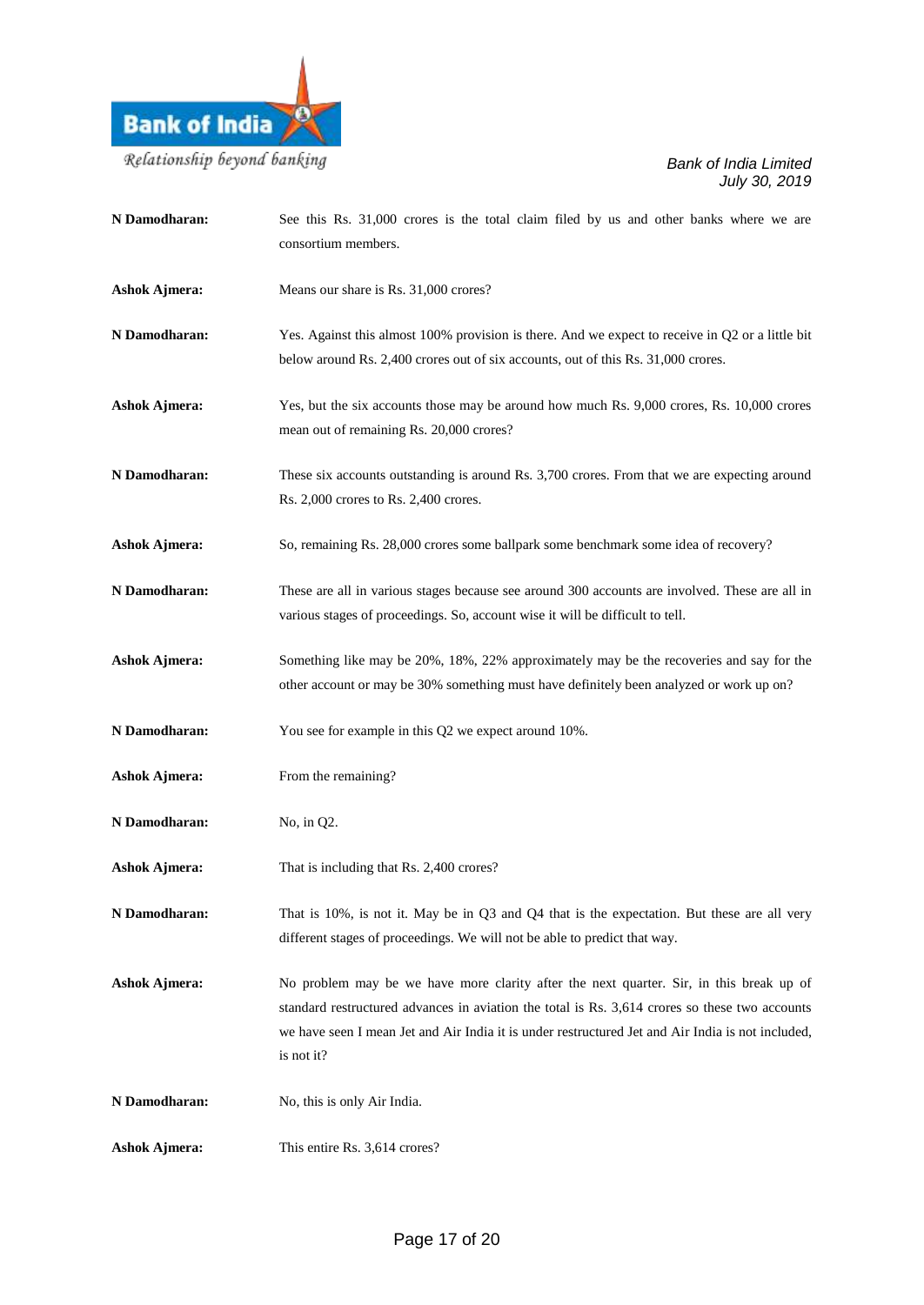

| N Damodharan:        | See this Rs. 31,000 crores is the total claim filed by us and other banks where we are<br>consortium members.                                                                                                                                                                                                |
|----------------------|--------------------------------------------------------------------------------------------------------------------------------------------------------------------------------------------------------------------------------------------------------------------------------------------------------------|
| <b>Ashok Ajmera:</b> | Means our share is Rs. 31,000 crores?                                                                                                                                                                                                                                                                        |
| N Damodharan:        | Yes. Against this almost 100% provision is there. And we expect to receive in Q2 or a little bit<br>below around Rs. 2,400 crores out of six accounts, out of this Rs. 31,000 crores.                                                                                                                        |
| <b>Ashok Ajmera:</b> | Yes, but the six accounts those may be around how much Rs. 9,000 crores, Rs. 10,000 crores<br>mean out of remaining Rs. 20,000 crores?                                                                                                                                                                       |
| N Damodharan:        | These six accounts outstanding is around Rs. 3,700 crores. From that we are expecting around<br>Rs. 2,000 crores to Rs. 2,400 crores.                                                                                                                                                                        |
| <b>Ashok Ajmera:</b> | So, remaining Rs. 28,000 crores some ballpark some benchmark some idea of recovery?                                                                                                                                                                                                                          |
| N Damodharan:        | These are all in various stages because see around 300 accounts are involved. These are all in<br>various stages of proceedings. So, account wise it will be difficult to tell.                                                                                                                              |
| <b>Ashok Ajmera:</b> | Something like may be 20%, 18%, 22% approximately may be the recoveries and say for the<br>other account or may be 30% something must have definitely been analyzed or work up on?                                                                                                                           |
| N Damodharan:        | You see for example in this Q2 we expect around 10%.                                                                                                                                                                                                                                                         |
| <b>Ashok Ajmera:</b> | From the remaining?                                                                                                                                                                                                                                                                                          |
| N Damodharan:        | No, in Q2.                                                                                                                                                                                                                                                                                                   |
| <b>Ashok Ajmera:</b> | That is including that Rs. 2,400 crores?                                                                                                                                                                                                                                                                     |
| N Damodharan:        | That is 10%, is not it. May be in Q3 and Q4 that is the expectation. But these are all very<br>different stages of proceedings. We will not be able to predict that way.                                                                                                                                     |
| <b>Ashok Ajmera:</b> | No problem may be we have more clarity after the next quarter. Sir, in this break up of<br>standard restructured advances in aviation the total is Rs. 3,614 crores so these two accounts<br>we have seen I mean Jet and Air India it is under restructured Jet and Air India is not included,<br>is not it? |
| N Damodharan:        | No, this is only Air India.                                                                                                                                                                                                                                                                                  |
| <b>Ashok Ajmera:</b> | This entire Rs. 3,614 crores?                                                                                                                                                                                                                                                                                |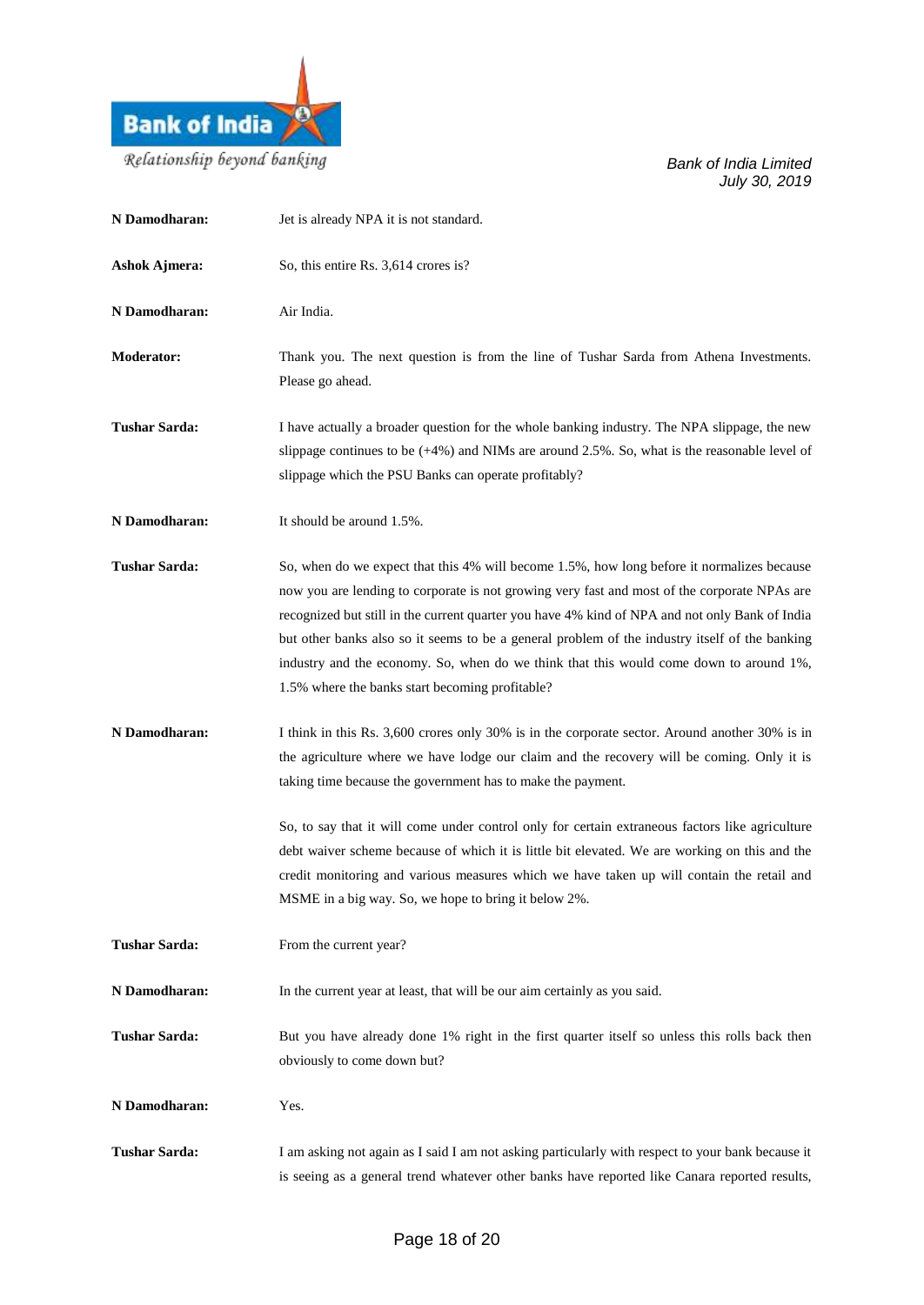

| N Damodharan:        | Jet is already NPA it is not standard.                                                                                                                                                                                                                                                                                                                                                                                                                                                                                                      |
|----------------------|---------------------------------------------------------------------------------------------------------------------------------------------------------------------------------------------------------------------------------------------------------------------------------------------------------------------------------------------------------------------------------------------------------------------------------------------------------------------------------------------------------------------------------------------|
| <b>Ashok Ajmera:</b> | So, this entire Rs. 3,614 crores is?                                                                                                                                                                                                                                                                                                                                                                                                                                                                                                        |
| N Damodharan:        | Air India.                                                                                                                                                                                                                                                                                                                                                                                                                                                                                                                                  |
| <b>Moderator:</b>    | Thank you. The next question is from the line of Tushar Sarda from Athena Investments.<br>Please go ahead.                                                                                                                                                                                                                                                                                                                                                                                                                                  |
| <b>Tushar Sarda:</b> | I have actually a broader question for the whole banking industry. The NPA slippage, the new<br>slippage continues to be $(+4%)$ and NIMs are around 2.5%. So, what is the reasonable level of<br>slippage which the PSU Banks can operate profitably?                                                                                                                                                                                                                                                                                      |
| N Damodharan:        | It should be around 1.5%.                                                                                                                                                                                                                                                                                                                                                                                                                                                                                                                   |
| <b>Tushar Sarda:</b> | So, when do we expect that this 4% will become 1.5%, how long before it normalizes because<br>now you are lending to corporate is not growing very fast and most of the corporate NPAs are<br>recognized but still in the current quarter you have 4% kind of NPA and not only Bank of India<br>but other banks also so it seems to be a general problem of the industry itself of the banking<br>industry and the economy. So, when do we think that this would come down to around 1%,<br>1.5% where the banks start becoming profitable? |
| N Damodharan:        | I think in this Rs. 3,600 crores only 30% is in the corporate sector. Around another 30% is in<br>the agriculture where we have lodge our claim and the recovery will be coming. Only it is<br>taking time because the government has to make the payment.                                                                                                                                                                                                                                                                                  |
|                      | So, to say that it will come under control only for certain extraneous factors like agriculture<br>debt waiver scheme because of which it is little bit elevated. We are working on this and the<br>credit monitoring and various measures which we have taken up will contain the retail and<br>MSME in a big way. So, we hope to bring it below 2%.                                                                                                                                                                                       |
| <b>Tushar Sarda:</b> | From the current year?                                                                                                                                                                                                                                                                                                                                                                                                                                                                                                                      |
| N Damodharan:        | In the current year at least, that will be our aim certainly as you said.                                                                                                                                                                                                                                                                                                                                                                                                                                                                   |
| <b>Tushar Sarda:</b> | But you have already done 1% right in the first quarter itself so unless this rolls back then<br>obviously to come down but?                                                                                                                                                                                                                                                                                                                                                                                                                |
| N Damodharan:        | Yes.                                                                                                                                                                                                                                                                                                                                                                                                                                                                                                                                        |
| <b>Tushar Sarda:</b> | I am asking not again as I said I am not asking particularly with respect to your bank because it<br>is seeing as a general trend whatever other banks have reported like Canara reported results,                                                                                                                                                                                                                                                                                                                                          |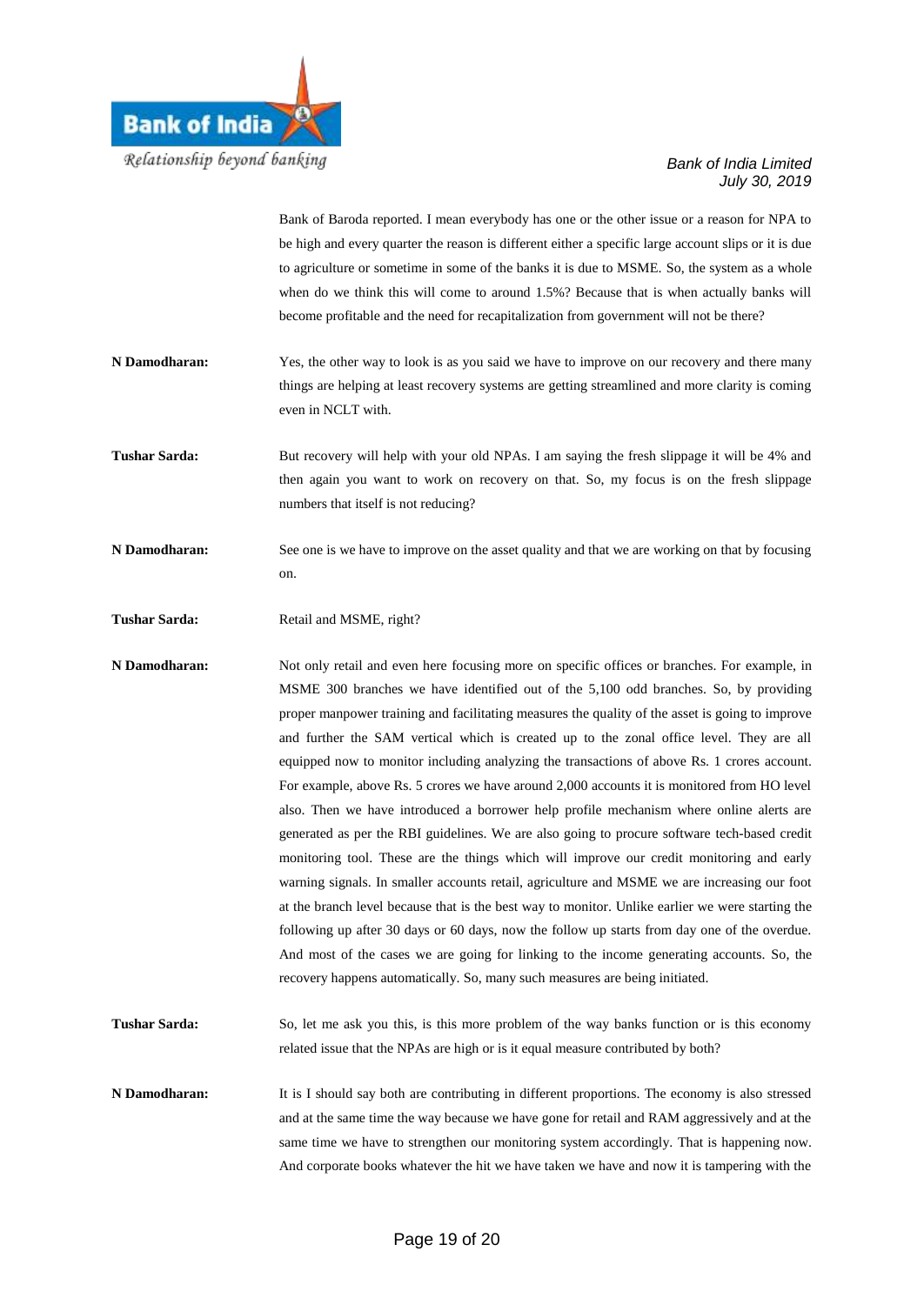

Bank of Baroda reported. I mean everybody has one or the other issue or a reason for NPA to be high and every quarter the reason is different either a specific large account slips or it is due to agriculture or sometime in some of the banks it is due to MSME. So, the system as a whole when do we think this will come to around 1.5%? Because that is when actually banks will become profitable and the need for recapitalization from government will not be there?

- **N Damodharan:** Yes, the other way to look is as you said we have to improve on our recovery and there many things are helping at least recovery systems are getting streamlined and more clarity is coming even in NCLT with.
- **Tushar Sarda:** But recovery will help with your old NPAs. I am saying the fresh slippage it will be 4% and then again you want to work on recovery on that. So, my focus is on the fresh slippage numbers that itself is not reducing?
- **N Damodharan:** See one is we have to improve on the asset quality and that we are working on that by focusing on.

Tushar Sarda: Retail and MSME, right?

**N Damodharan:** Not only retail and even here focusing more on specific offices or branches. For example, in MSME 300 branches we have identified out of the 5,100 odd branches. So, by providing proper manpower training and facilitating measures the quality of the asset is going to improve and further the SAM vertical which is created up to the zonal office level. They are all equipped now to monitor including analyzing the transactions of above Rs. 1 crores account. For example, above Rs. 5 crores we have around 2,000 accounts it is monitored from HO level also. Then we have introduced a borrower help profile mechanism where online alerts are generated as per the RBI guidelines. We are also going to procure software tech-based credit monitoring tool. These are the things which will improve our credit monitoring and early warning signals. In smaller accounts retail, agriculture and MSME we are increasing our foot at the branch level because that is the best way to monitor. Unlike earlier we were starting the following up after 30 days or 60 days, now the follow up starts from day one of the overdue. And most of the cases we are going for linking to the income generating accounts. So, the recovery happens automatically. So, many such measures are being initiated.

- **Tushar Sarda:** So, let me ask you this, is this more problem of the way banks function or is this economy related issue that the NPAs are high or is it equal measure contributed by both?
- **N Damodharan:** It is I should say both are contributing in different proportions. The economy is also stressed and at the same time the way because we have gone for retail and RAM aggressively and at the same time we have to strengthen our monitoring system accordingly. That is happening now. And corporate books whatever the hit we have taken we have and now it is tampering with the